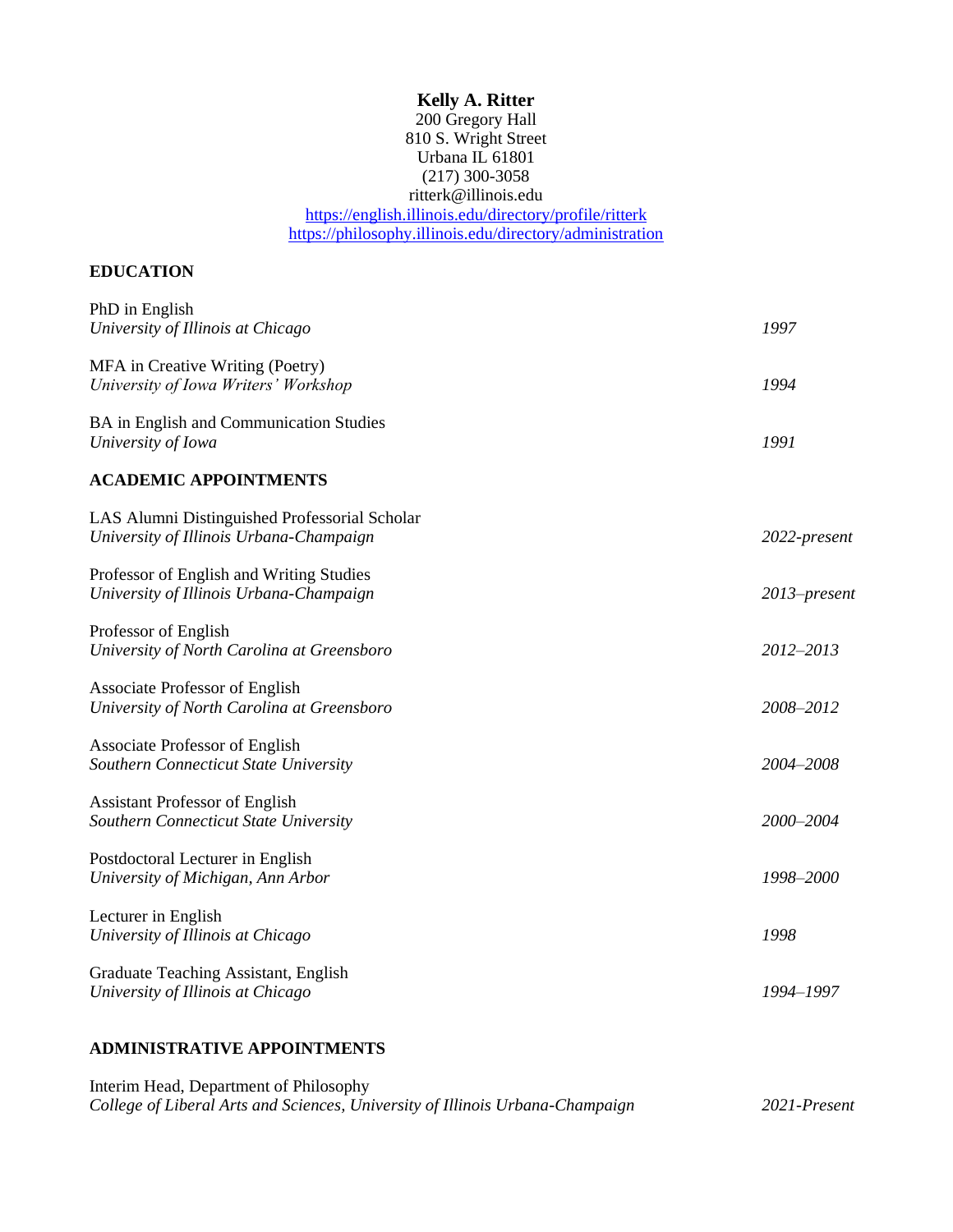# **Kelly A. Ritter**

# 200 Gregory Hall 810 S. Wright Street Urbana IL 61801 (217) 300-3058 ritterk@illinois.edu <https://english.illinois.edu/directory/profile/ritterk> <https://philosophy.illinois.edu/directory/administration>

# **EDUCATION**

| PhD in English<br>University of Illinois at Chicago                                      | 1997         |
|------------------------------------------------------------------------------------------|--------------|
| MFA in Creative Writing (Poetry)<br>University of Iowa Writers' Workshop                 | 1994         |
| BA in English and Communication Studies<br>University of Iowa                            | 1991         |
| <b>ACADEMIC APPOINTMENTS</b>                                                             |              |
| LAS Alumni Distinguished Professorial Scholar<br>University of Illinois Urbana-Champaign | 2022-present |
| Professor of English and Writing Studies<br>University of Illinois Urbana-Champaign      | 2013–present |
| Professor of English<br>University of North Carolina at Greensboro                       | 2012-2013    |
| Associate Professor of English<br>University of North Carolina at Greensboro             | 2008-2012    |
| Associate Professor of English<br>Southern Connecticut State University                  | 2004-2008    |
| <b>Assistant Professor of English</b><br>Southern Connecticut State University           | 2000-2004    |
| Postdoctoral Lecturer in English<br>University of Michigan, Ann Arbor                    | 1998-2000    |
| Lecturer in English<br>University of Illinois at Chicago                                 | 1998         |
| Graduate Teaching Assistant, English<br>University of Illinois at Chicago                | 1994-1997    |
|                                                                                          |              |

# **ADMINISTRATIVE APPOINTMENTS**

| Interim Head, Department of Philosophy                                        |              |
|-------------------------------------------------------------------------------|--------------|
| College of Liberal Arts and Sciences, University of Illinois Urbana-Champaign | 2021-Present |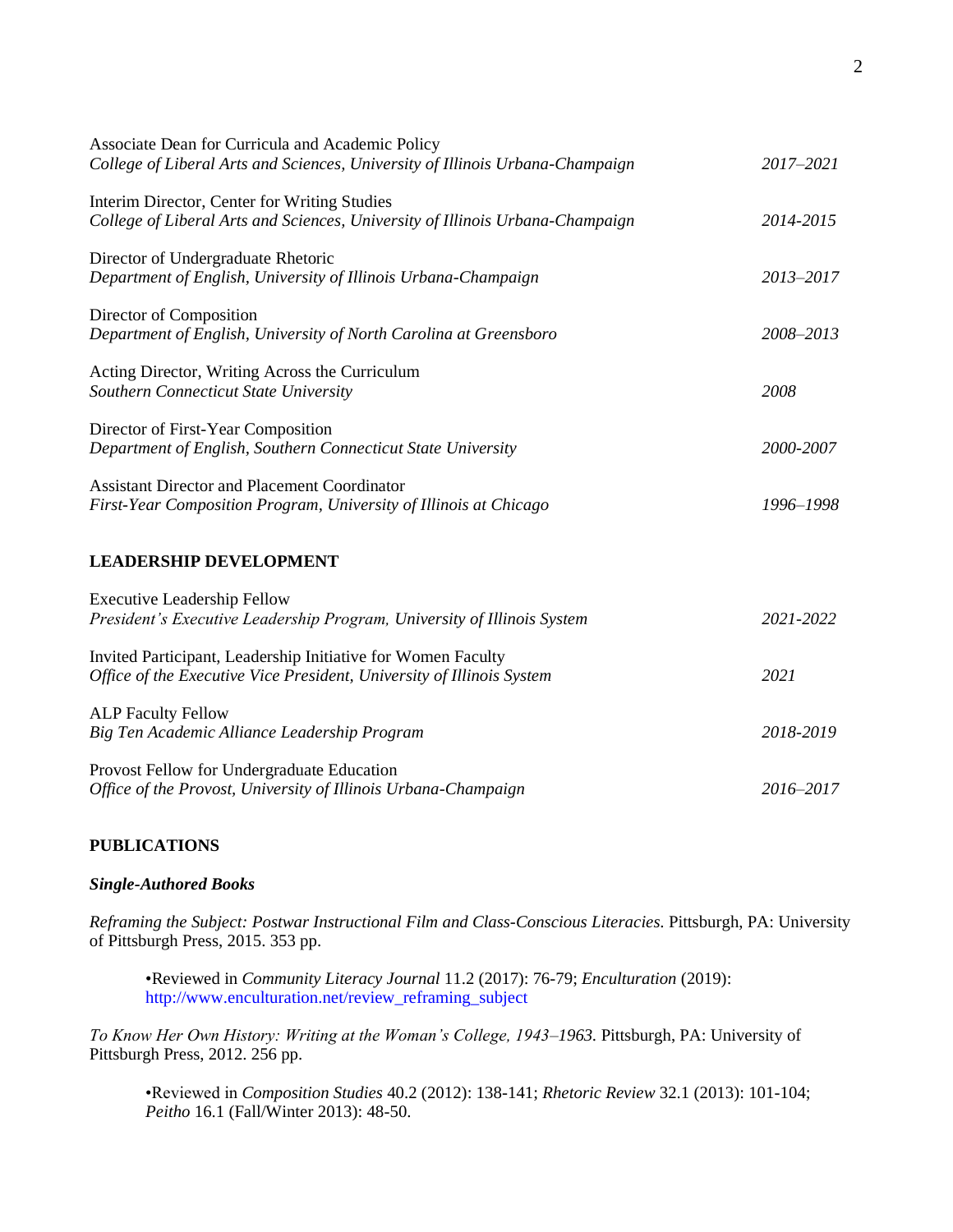| Associate Dean for Curricula and Academic Policy<br>College of Liberal Arts and Sciences, University of Illinois Urbana-Champaign     | 2017-2021 |
|---------------------------------------------------------------------------------------------------------------------------------------|-----------|
| Interim Director, Center for Writing Studies<br>College of Liberal Arts and Sciences, University of Illinois Urbana-Champaign         | 2014-2015 |
| Director of Undergraduate Rhetoric<br>Department of English, University of Illinois Urbana-Champaign                                  | 2013-2017 |
| Director of Composition<br>Department of English, University of North Carolina at Greensboro                                          | 2008-2013 |
| Acting Director, Writing Across the Curriculum<br>Southern Connecticut State University                                               | 2008      |
| Director of First-Year Composition<br>Department of English, Southern Connecticut State University                                    | 2000-2007 |
| <b>Assistant Director and Placement Coordinator</b><br>First-Year Composition Program, University of Illinois at Chicago              | 1996-1998 |
| <b>LEADERSHIP DEVELOPMENT</b>                                                                                                         |           |
| <b>Executive Leadership Fellow</b><br>President's Executive Leadership Program, University of Illinois System                         | 2021-2022 |
| Invited Participant, Leadership Initiative for Women Faculty<br>Office of the Executive Vice President, University of Illinois System | 2021      |
| <b>ALP Faculty Fellow</b><br>Big Ten Academic Alliance Leadership Program                                                             | 2018-2019 |
| Provost Fellow for Undergraduate Education<br>Office of the Provost, University of Illinois Urbana-Champaign                          | 2016-2017 |

# **PUBLICATIONS**

# *Single-Authored Books*

*Reframing the Subject: Postwar Instructional Film and Class-Conscious Literacies.* Pittsburgh, PA: University of Pittsburgh Press, 2015. 353 pp.

•Reviewed in *Community Literacy Journal* 11.2 (2017): 76-79; *Enculturation* (2019): http://www.enculturation.net/review\_reframing\_subject

*To Know Her Own History: Writing at the Woman's College, 1943–1963.* Pittsburgh, PA: University of Pittsburgh Press, 2012. 256 pp.

•Reviewed in *Composition Studies* 40.2 (2012): 138-141; *Rhetoric Review* 32.1 (2013): 101-104; *Peitho* 16.1 (Fall/Winter 2013): 48-50.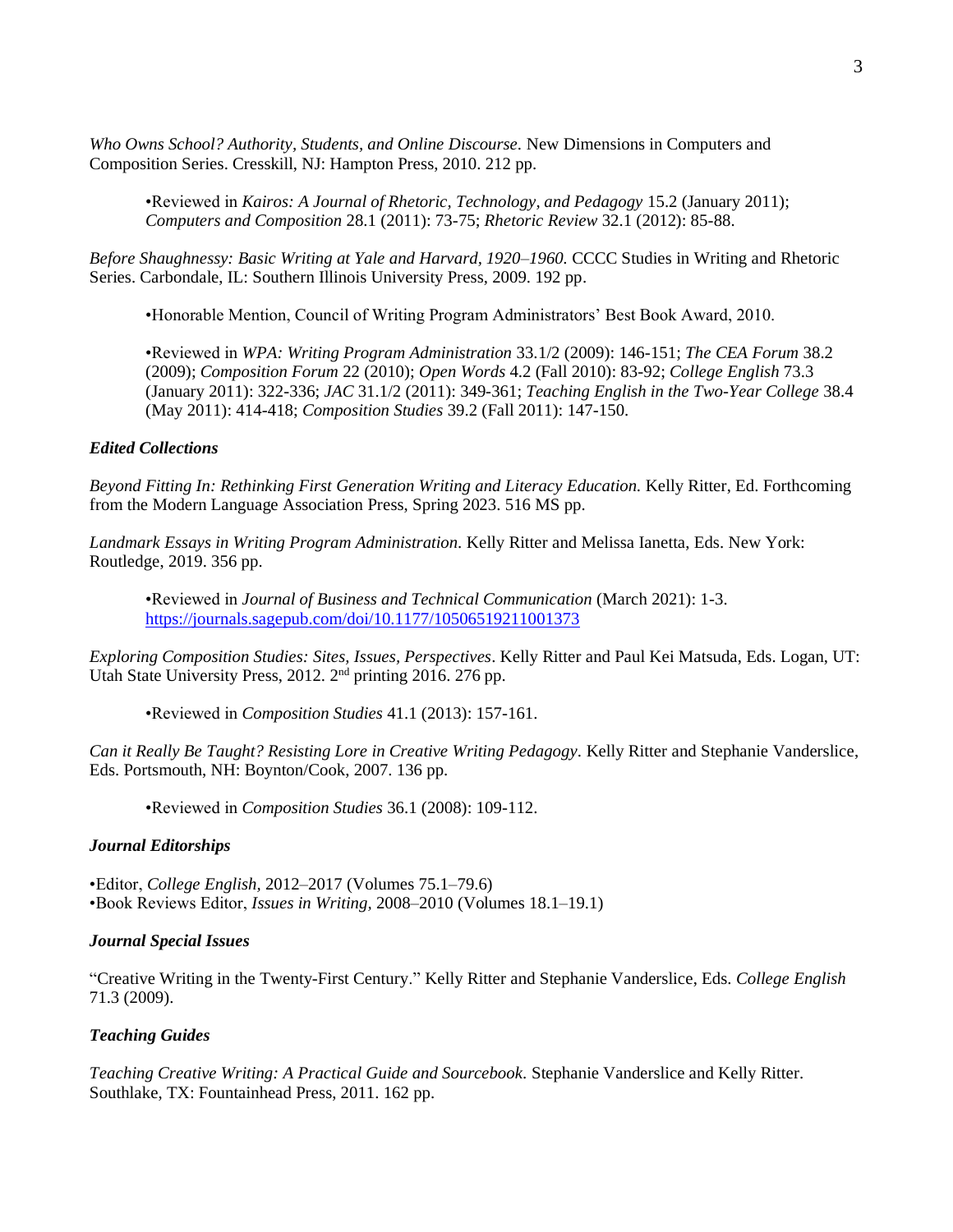*Who Owns School? Authority, Students, and Online Discourse.* New Dimensions in Computers and Composition Series. Cresskill, NJ: Hampton Press, 2010. 212 pp.

•Reviewed in *Kairos: A Journal of Rhetoric, Technology, and Pedagogy* 15.2 (January 2011); *Computers and Composition* 28.1 (2011): 73-75; *Rhetoric Review* 32.1 (2012): 85-88.

*Before Shaughnessy: Basic Writing at Yale and Harvard, 1920–1960.* CCCC Studies in Writing and Rhetoric Series. Carbondale, IL: Southern Illinois University Press, 2009. 192 pp.

•Honorable Mention, Council of Writing Program Administrators' Best Book Award, 2010.

•Reviewed in *WPA: Writing Program Administration* 33.1/2 (2009): 146-151; *The CEA Forum* 38.2 (2009); *Composition Forum* 22 (2010); *Open Words* 4.2 (Fall 2010): 83-92; *College English* 73.3 (January 2011): 322-336; *JAC* 31.1/2 (2011): 349-361; *Teaching English in the Two-Year College* 38.4 (May 2011): 414-418; *Composition Studies* 39.2 (Fall 2011): 147-150.

## *Edited Collections*

*Beyond Fitting In: Rethinking First Generation Writing and Literacy Education.* Kelly Ritter, Ed. Forthcoming from the Modern Language Association Press, Spring 2023. 516 MS pp.

*Landmark Essays in Writing Program Administration.* Kelly Ritter and Melissa Ianetta, Eds. New York: Routledge, 2019. 356 pp.

•Reviewed in *Journal of Business and Technical Communication* (March 2021): 1-3. <https://journals.sagepub.com/doi/10.1177/10506519211001373>

*Exploring Composition Studies: Sites, Issues, Perspectives*. Kelly Ritter and Paul Kei Matsuda, Eds. Logan, UT: Utah State University Press, 2012. 2<sup>nd</sup> printing 2016. 276 pp.

•Reviewed in *Composition Studies* 41.1 (2013): 157-161.

*Can it Really Be Taught? Resisting Lore in Creative Writing Pedagogy.* Kelly Ritter and Stephanie Vanderslice, Eds. Portsmouth, NH: Boynton/Cook, 2007. 136 pp.

•Reviewed in *Composition Studies* 36.1 (2008): 109-112.

# *Journal Editorships*

•Editor, *College English,* 2012–2017 (Volumes 75.1–79.6) •Book Reviews Editor, *Issues in Writing,* 2008–2010 (Volumes 18.1–19.1)

#### *Journal Special Issues*

"Creative Writing in the Twenty-First Century." Kelly Ritter and Stephanie Vanderslice, Eds. *College English* 71.3 (2009).

#### *Teaching Guides*

*Teaching Creative Writing: A Practical Guide and Sourcebook.* Stephanie Vanderslice and Kelly Ritter. Southlake, TX: Fountainhead Press, 2011. 162 pp.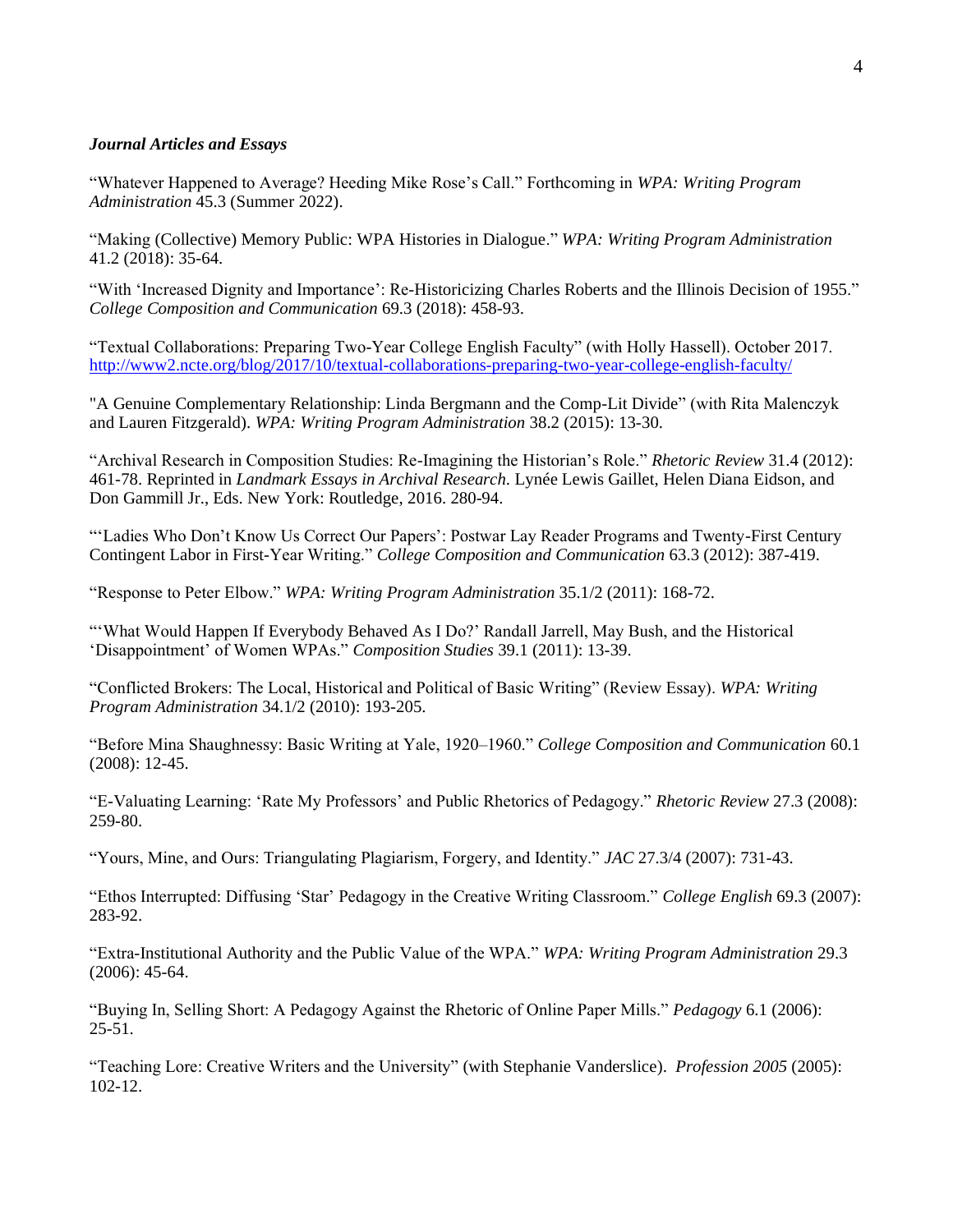# *Journal Articles and Essays*

"Whatever Happened to Average? Heeding Mike Rose's Call." Forthcoming in *WPA: Writing Program Administration* 45.3 (Summer 2022).

"Making (Collective) Memory Public: WPA Histories in Dialogue." *WPA: Writing Program Administration* 41.2 (2018): 35-64.

"With 'Increased Dignity and Importance': Re-Historicizing Charles Roberts and the Illinois Decision of 1955." *College Composition and Communication* 69.3 (2018): 458-93.

"Textual Collaborations: Preparing Two-Year College English Faculty" (with Holly Hassell). October 2017. <http://www2.ncte.org/blog/2017/10/textual-collaborations-preparing-two-year-college-english-faculty/>

"A Genuine Complementary Relationship: Linda Bergmann and the Comp-Lit Divide" (with Rita Malenczyk and Lauren Fitzgerald). *WPA: Writing Program Administration* 38.2 (2015): 13-30.

"Archival Research in Composition Studies: Re-Imagining the Historian's Role." *Rhetoric Review* 31.4 (2012): 461-78. Reprinted in *Landmark Essays in Archival Research.* Lynée Lewis Gaillet, Helen Diana Eidson, and Don Gammill Jr., Eds. New York: Routledge, 2016. 280-94.

"'Ladies Who Don't Know Us Correct Our Papers': Postwar Lay Reader Programs and Twenty-First Century Contingent Labor in First-Year Writing." *College Composition and Communication* 63.3 (2012): 387-419.

"Response to Peter Elbow." *WPA: Writing Program Administration* 35.1/2 (2011): 168-72.

"'What Would Happen If Everybody Behaved As I Do?' Randall Jarrell, May Bush, and the Historical 'Disappointment' of Women WPAs." *Composition Studies* 39.1 (2011): 13-39.

"Conflicted Brokers: The Local, Historical and Political of Basic Writing" (Review Essay). *WPA: Writing Program Administration* 34.1/2 (2010): 193-205.

"Before Mina Shaughnessy: Basic Writing at Yale, 1920–1960." *College Composition and Communication* 60.1 (2008): 12-45.

"E-Valuating Learning: 'Rate My Professors' and Public Rhetorics of Pedagogy." *Rhetoric Review* 27.3 (2008): 259-80.

"Yours, Mine, and Ours: Triangulating Plagiarism, Forgery, and Identity." *JAC* 27.3/4 (2007): 731-43.

"Ethos Interrupted: Diffusing 'Star' Pedagogy in the Creative Writing Classroom." *College English* 69.3 (2007): 283-92.

"Extra-Institutional Authority and the Public Value of the WPA." *WPA: Writing Program Administration* 29.3 (2006): 45-64.

"Buying In, Selling Short: A Pedagogy Against the Rhetoric of Online Paper Mills." *Pedagogy* 6.1 (2006):  $25 - 51$ .

"Teaching Lore: Creative Writers and the University" (with Stephanie Vanderslice). *Profession 2005* (2005): 102-12.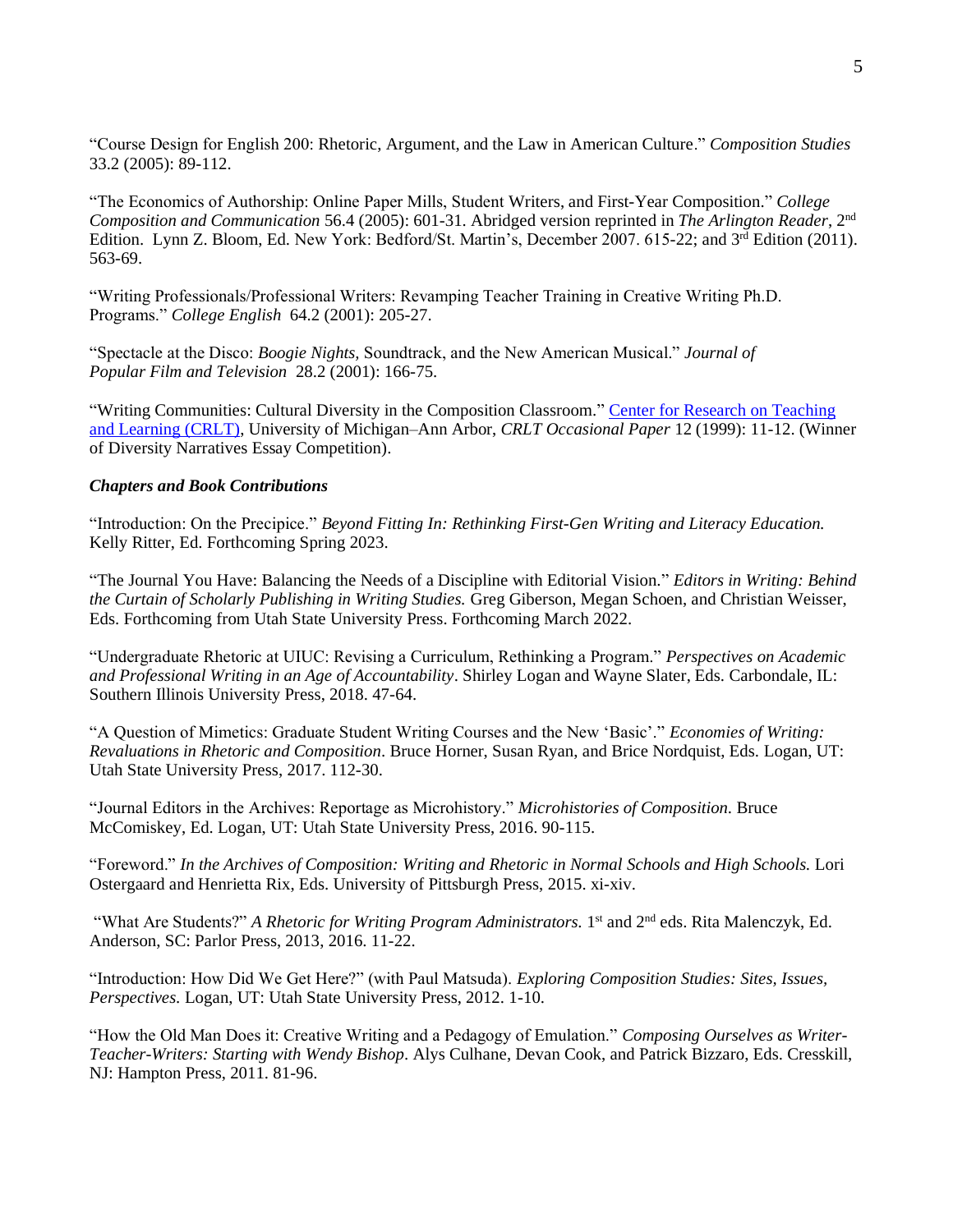"Course Design for English 200: Rhetoric, Argument, and the Law in American Culture." *Composition Studies* 33.2 (2005): 89-112.

"The Economics of Authorship: Online Paper Mills, Student Writers, and First-Year Composition." *College Composition and Communication* 56.4 (2005): 601-31. Abridged version reprinted in *The Arlington Reader*, 2nd Edition. Lynn Z. Bloom, Ed. New York: Bedford/St. Martin's, December 2007. 615-22; and 3<sup>rd</sup> Edition (2011). 563-69.

"Writing Professionals/Professional Writers: Revamping Teacher Training in Creative Writing Ph.D. Programs." *College English* 64.2 (2001): 205-27.

"Spectacle at the Disco: *Boogie Nights,* Soundtrack, and the New American Musical." *Journal of Popular Film and Television* 28.2 (2001): 166-75.

"Writing Communities: Cultural Diversity in the Composition Classroom." [Center for Research on Teaching](http://crlt.umich.edu/)  [and Learning \(CRLT\),](http://crlt.umich.edu/) University of Michigan–Ann Arbor, *CRLT Occasional Paper* 12 (1999): 11-12. (Winner of Diversity Narratives Essay Competition).

## *Chapters and Book Contributions*

"Introduction: On the Precipice." *Beyond Fitting In: Rethinking First-Gen Writing and Literacy Education.*  Kelly Ritter, Ed. Forthcoming Spring 2023.

"The Journal You Have: Balancing the Needs of a Discipline with Editorial Vision." *Editors in Writing: Behind the Curtain of Scholarly Publishing in Writing Studies.* Greg Giberson, Megan Schoen, and Christian Weisser, Eds. Forthcoming from Utah State University Press. Forthcoming March 2022.

"Undergraduate Rhetoric at UIUC: Revising a Curriculum, Rethinking a Program." *Perspectives on Academic and Professional Writing in an Age of Accountability*. Shirley Logan and Wayne Slater, Eds. Carbondale, IL: Southern Illinois University Press, 2018. 47-64.

"A Question of Mimetics: Graduate Student Writing Courses and the New 'Basic'." *Economies of Writing: Revaluations in Rhetoric and Composition*. Bruce Horner, Susan Ryan, and Brice Nordquist, Eds. Logan, UT: Utah State University Press, 2017. 112-30.

"Journal Editors in the Archives: Reportage as Microhistory." *Microhistories of Composition.* Bruce McComiskey, Ed. Logan, UT: Utah State University Press, 2016. 90-115.

"Foreword." *In the Archives of Composition: Writing and Rhetoric in Normal Schools and High Schools.* Lori Ostergaard and Henrietta Rix, Eds. University of Pittsburgh Press, 2015. xi-xiv.

"What Are Students?" A Rhetoric for Writing Program Administrators. 1<sup>st</sup> and 2<sup>nd</sup> eds. Rita Malenczyk, Ed. Anderson, SC: Parlor Press, 2013, 2016. 11-22.

"Introduction: How Did We Get Here?" (with Paul Matsuda). *Exploring Composition Studies: Sites, Issues, Perspectives.* Logan, UT: Utah State University Press, 2012. 1-10.

"How the Old Man Does it: Creative Writing and a Pedagogy of Emulation." *Composing Ourselves as Writer-Teacher-Writers: Starting with Wendy Bishop*. Alys Culhane, Devan Cook, and Patrick Bizzaro, Eds. Cresskill, NJ: Hampton Press, 2011. 81-96.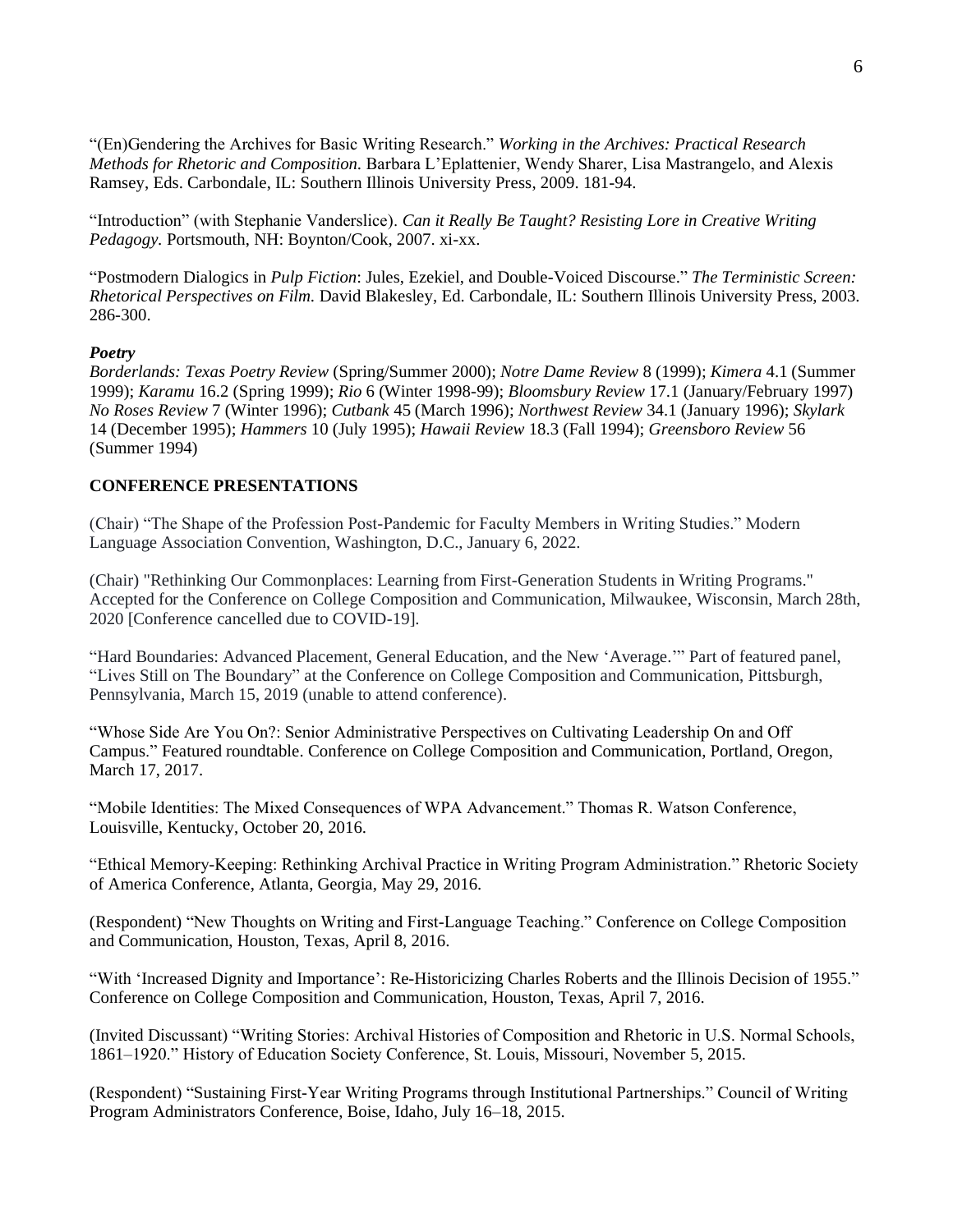"(En)Gendering the Archives for Basic Writing Research." *Working in the Archives: Practical Research Methods for Rhetoric and Composition.* Barbara L'Eplattenier, Wendy Sharer, Lisa Mastrangelo, and Alexis Ramsey, Eds. Carbondale, IL: Southern Illinois University Press, 2009. 181-94.

"Introduction" (with Stephanie Vanderslice). *Can it Really Be Taught? Resisting Lore in Creative Writing Pedagogy.* Portsmouth, NH: Boynton/Cook, 2007. xi-xx.

"Postmodern Dialogics in *Pulp Fiction*: Jules, Ezekiel, and Double-Voiced Discourse." *The Terministic Screen: Rhetorical Perspectives on Film.* David Blakesley, Ed. Carbondale, IL: Southern Illinois University Press, 2003. 286-300.

#### *Poetry*

*Borderlands: Texas Poetry Review* (Spring/Summer 2000); *Notre Dame Review* 8 (1999); *Kimera* 4.1 (Summer 1999); *Karamu* 16.2 (Spring 1999); *Rio* 6 (Winter 1998-99); *Bloomsbury Review* 17.1 (January/February 1997) *No Roses Review* 7 (Winter 1996); *Cutbank* 45 (March 1996); *Northwest Review* 34.1 (January 1996); *Skylark* 14 (December 1995); *Hammers* 10 (July 1995); *Hawaii Review* 18.3 (Fall 1994); *Greensboro Review* 56 (Summer 1994)

## **CONFERENCE PRESENTATIONS**

(Chair) "The Shape of the Profession Post-Pandemic for Faculty Members in Writing Studies." Modern Language Association Convention, Washington, D.C., January 6, 2022.

(Chair) "Rethinking Our Commonplaces: Learning from First-Generation Students in Writing Programs." Accepted for the Conference on College Composition and Communication, Milwaukee, Wisconsin, March 28th, 2020 [Conference cancelled due to COVID-19].

"Hard Boundaries: Advanced Placement, General Education, and the New 'Average.'" Part of featured panel, "Lives Still on The Boundary" at the Conference on College Composition and Communication, Pittsburgh, Pennsylvania, March 15, 2019 (unable to attend conference).

"Whose Side Are You On?: Senior Administrative Perspectives on Cultivating Leadership On and Off Campus." Featured roundtable. Conference on College Composition and Communication, Portland, Oregon, March 17, 2017.

"Mobile Identities: The Mixed Consequences of WPA Advancement." Thomas R. Watson Conference, Louisville, Kentucky, October 20, 2016.

"Ethical Memory-Keeping: Rethinking Archival Practice in Writing Program Administration." Rhetoric Society of America Conference, Atlanta, Georgia, May 29, 2016.

(Respondent) "New Thoughts on Writing and First-Language Teaching." Conference on College Composition and Communication, Houston, Texas, April 8, 2016.

"With 'Increased Dignity and Importance': Re-Historicizing Charles Roberts and the Illinois Decision of 1955." Conference on College Composition and Communication, Houston, Texas, April 7, 2016.

(Invited Discussant) "Writing Stories: Archival Histories of Composition and Rhetoric in U.S. Normal Schools, 1861–1920." History of Education Society Conference, St. Louis, Missouri, November 5, 2015.

(Respondent) "Sustaining First-Year Writing Programs through Institutional Partnerships." Council of Writing Program Administrators Conference, Boise, Idaho, July 16–18, 2015.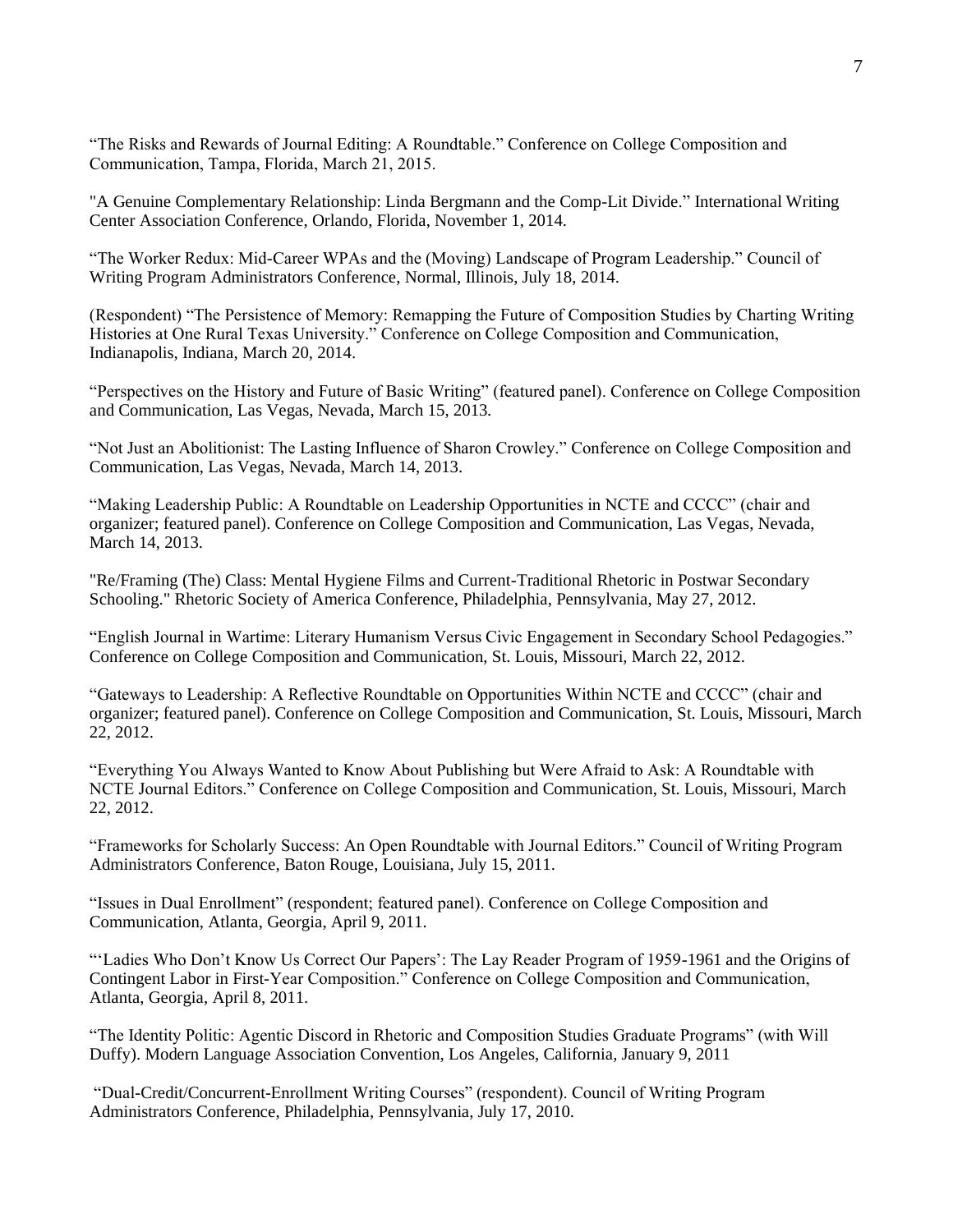"The Risks and Rewards of Journal Editing: A Roundtable." Conference on College Composition and Communication, Tampa, Florida, March 21, 2015.

"A Genuine Complementary Relationship: Linda Bergmann and the Comp-Lit Divide." International Writing Center Association Conference, Orlando, Florida, November 1, 2014.

"The Worker Redux: Mid-Career WPAs and the (Moving) Landscape of Program Leadership." Council of Writing Program Administrators Conference, Normal, Illinois, July 18, 2014.

(Respondent) "The Persistence of Memory: Remapping the Future of Composition Studies by Charting Writing Histories at One Rural Texas University." Conference on College Composition and Communication, Indianapolis, Indiana, March 20, 2014.

"Perspectives on the History and Future of Basic Writing" (featured panel). Conference on College Composition and Communication, Las Vegas, Nevada, March 15, 2013.

"Not Just an Abolitionist: The Lasting Influence of Sharon Crowley." Conference on College Composition and Communication, Las Vegas, Nevada, March 14, 2013.

"Making Leadership Public: A Roundtable on Leadership Opportunities in NCTE and CCCC" (chair and organizer; featured panel). Conference on College Composition and Communication, Las Vegas, Nevada, March 14, 2013.

"Re/Framing (The) Class: Mental Hygiene Films and Current-Traditional Rhetoric in Postwar Secondary Schooling." Rhetoric Society of America Conference, Philadelphia, Pennsylvania, May 27, 2012.

"English Journal in Wartime: Literary Humanism Versus Civic Engagement in Secondary School Pedagogies." Conference on College Composition and Communication, St. Louis, Missouri, March 22, 2012.

"Gateways to Leadership: A Reflective Roundtable on Opportunities Within NCTE and CCCC" (chair and organizer; featured panel). Conference on College Composition and Communication, St. Louis, Missouri, March 22, 2012.

"Everything You Always Wanted to Know About Publishing but Were Afraid to Ask: A Roundtable with NCTE Journal Editors." Conference on College Composition and Communication, St. Louis, Missouri, March 22, 2012.

"Frameworks for Scholarly Success: An Open Roundtable with Journal Editors." Council of Writing Program Administrators Conference, Baton Rouge, Louisiana, July 15, 2011.

"Issues in Dual Enrollment" (respondent; featured panel). Conference on College Composition and Communication, Atlanta, Georgia, April 9, 2011.

"'Ladies Who Don't Know Us Correct Our Papers': The Lay Reader Program of 1959-1961 and the Origins of Contingent Labor in First-Year Composition." Conference on College Composition and Communication, Atlanta, Georgia, April 8, 2011.

"The Identity Politic: Agentic Discord in Rhetoric and Composition Studies Graduate Programs" (with Will Duffy). Modern Language Association Convention, Los Angeles, California, January 9, 2011

"Dual-Credit/Concurrent-Enrollment Writing Courses" (respondent). Council of Writing Program Administrators Conference, Philadelphia, Pennsylvania, July 17, 2010.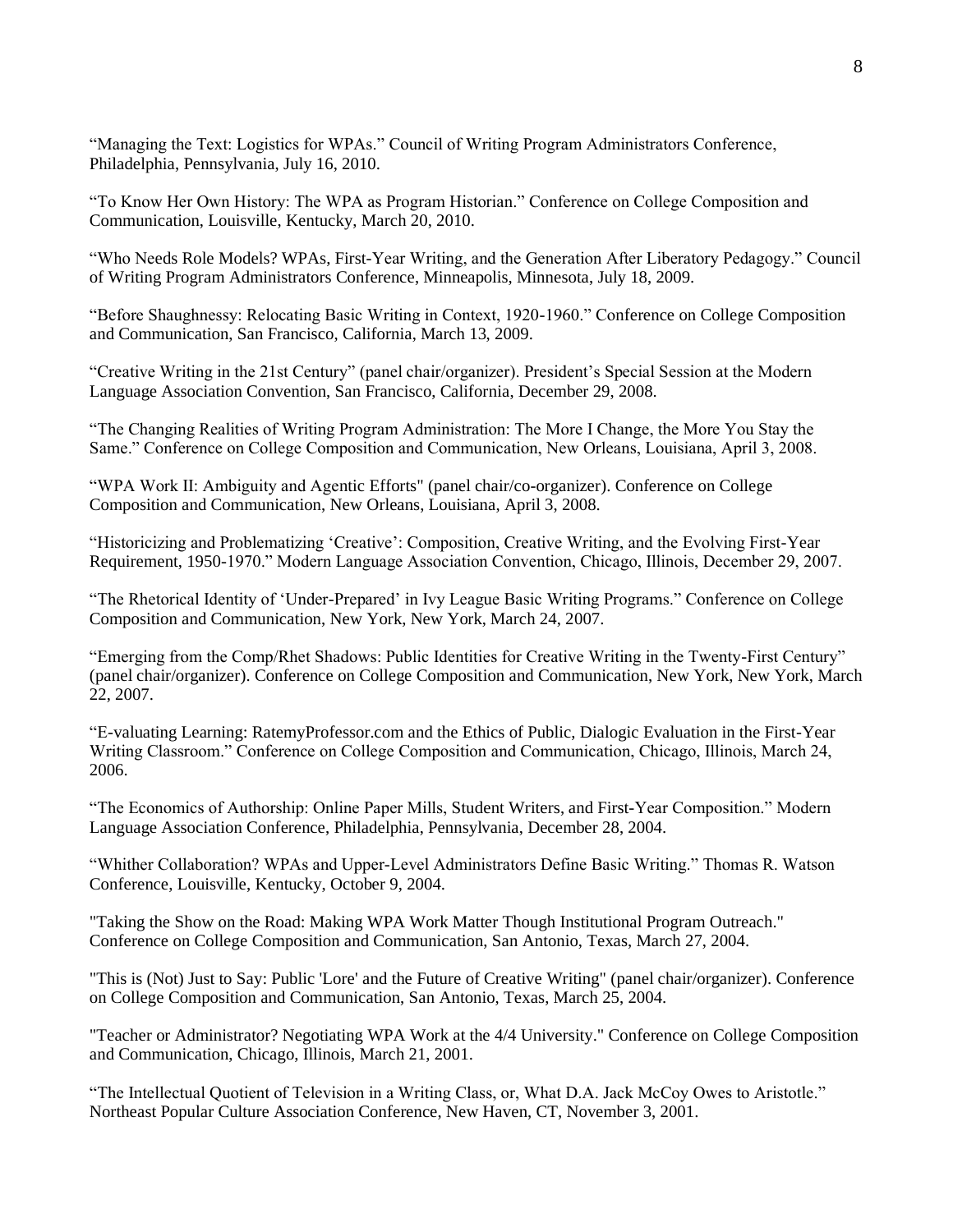"Managing the Text: Logistics for WPAs." Council of Writing Program Administrators Conference, Philadelphia, Pennsylvania, July 16, 2010.

"To Know Her Own History: The WPA as Program Historian." Conference on College Composition and Communication, Louisville, Kentucky, March 20, 2010.

"Who Needs Role Models? WPAs, First-Year Writing, and the Generation After Liberatory Pedagogy." Council of Writing Program Administrators Conference, Minneapolis, Minnesota, July 18, 2009.

"Before Shaughnessy: Relocating Basic Writing in Context, 1920-1960." Conference on College Composition and Communication, San Francisco, California, March 13, 2009.

"Creative Writing in the 21st Century" (panel chair/organizer). President's Special Session at the Modern Language Association Convention, San Francisco, California, December 29, 2008.

"The Changing Realities of Writing Program Administration: The More I Change, the More You Stay the Same." Conference on College Composition and Communication, New Orleans, Louisiana, April 3, 2008.

"WPA Work II: Ambiguity and Agentic Efforts" (panel chair/co-organizer). Conference on College Composition and Communication, New Orleans, Louisiana, April 3, 2008.

"Historicizing and Problematizing 'Creative': Composition, Creative Writing, and the Evolving First-Year Requirement, 1950-1970." Modern Language Association Convention, Chicago, Illinois, December 29, 2007.

"The Rhetorical Identity of 'Under-Prepared' in Ivy League Basic Writing Programs." Conference on College Composition and Communication, New York, New York, March 24, 2007.

"Emerging from the Comp/Rhet Shadows: Public Identities for Creative Writing in the Twenty-First Century" (panel chair/organizer). Conference on College Composition and Communication, New York, New York, March 22, 2007.

"E-valuating Learning: RatemyProfessor.com and the Ethics of Public, Dialogic Evaluation in the First-Year Writing Classroom." Conference on College Composition and Communication, Chicago, Illinois, March 24, 2006.

"The Economics of Authorship: Online Paper Mills, Student Writers, and First-Year Composition." Modern Language Association Conference, Philadelphia, Pennsylvania, December 28, 2004.

"Whither Collaboration? WPAs and Upper-Level Administrators Define Basic Writing." Thomas R. Watson Conference, Louisville, Kentucky, October 9, 2004.

"Taking the Show on the Road: Making WPA Work Matter Though Institutional Program Outreach." Conference on College Composition and Communication, San Antonio, Texas, March 27, 2004.

"This is (Not) Just to Say: Public 'Lore' and the Future of Creative Writing" (panel chair/organizer). Conference on College Composition and Communication, San Antonio, Texas, March 25, 2004.

"Teacher or Administrator? Negotiating WPA Work at the 4/4 University." Conference on College Composition and Communication, Chicago, Illinois, March 21, 2001.

"The Intellectual Quotient of Television in a Writing Class, or, What D.A. Jack McCoy Owes to Aristotle." Northeast Popular Culture Association Conference, New Haven, CT, November 3, 2001.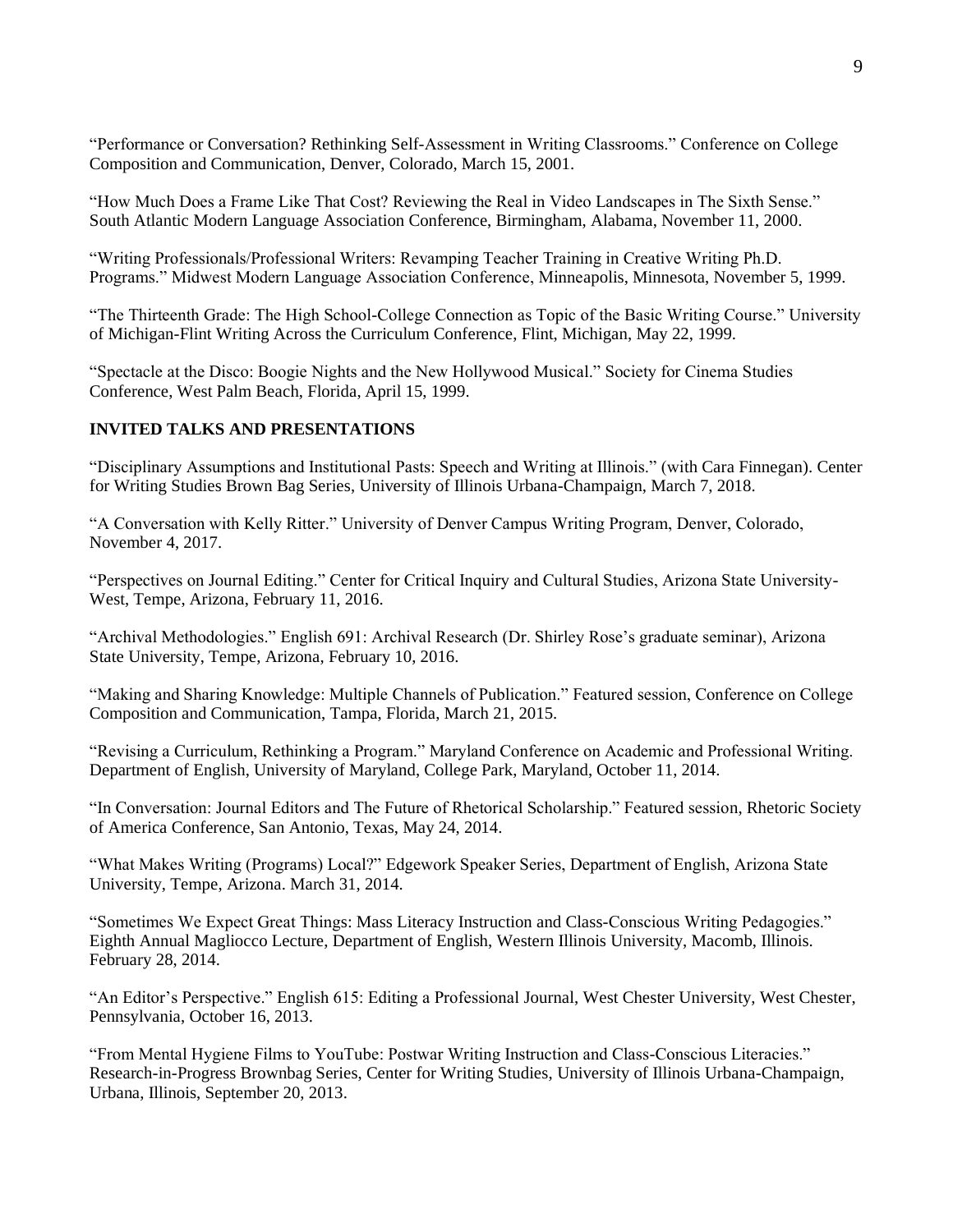"Performance or Conversation? Rethinking Self-Assessment in Writing Classrooms." Conference on College Composition and Communication, Denver, Colorado, March 15, 2001.

"How Much Does a Frame Like That Cost? Reviewing the Real in Video Landscapes in The Sixth Sense." South Atlantic Modern Language Association Conference, Birmingham, Alabama, November 11, 2000.

"Writing Professionals/Professional Writers: Revamping Teacher Training in Creative Writing Ph.D. Programs." Midwest Modern Language Association Conference, Minneapolis, Minnesota, November 5, 1999.

"The Thirteenth Grade: The High School-College Connection as Topic of the Basic Writing Course." University of Michigan-Flint Writing Across the Curriculum Conference, Flint, Michigan, May 22, 1999.

"Spectacle at the Disco: Boogie Nights and the New Hollywood Musical." Society for Cinema Studies Conference, West Palm Beach, Florida, April 15, 1999.

# **INVITED TALKS AND PRESENTATIONS**

"Disciplinary Assumptions and Institutional Pasts: Speech and Writing at Illinois." (with Cara Finnegan). Center for Writing Studies Brown Bag Series, University of Illinois Urbana-Champaign, March 7, 2018.

"A Conversation with Kelly Ritter." University of Denver Campus Writing Program, Denver, Colorado, November 4, 2017.

"Perspectives on Journal Editing." Center for Critical Inquiry and Cultural Studies, Arizona State University-West, Tempe, Arizona, February 11, 2016.

"Archival Methodologies." English 691: Archival Research (Dr. Shirley Rose's graduate seminar), Arizona State University, Tempe, Arizona, February 10, 2016.

"Making and Sharing Knowledge: Multiple Channels of Publication." Featured session, Conference on College Composition and Communication, Tampa, Florida, March 21, 2015.

"Revising a Curriculum, Rethinking a Program." Maryland Conference on Academic and Professional Writing. Department of English, University of Maryland, College Park, Maryland, October 11, 2014.

"In Conversation: Journal Editors and The Future of Rhetorical Scholarship." Featured session, Rhetoric Society of America Conference, San Antonio, Texas, May 24, 2014.

"What Makes Writing (Programs) Local?" Edgework Speaker Series, Department of English, Arizona State University, Tempe, Arizona. March 31, 2014.

"Sometimes We Expect Great Things: Mass Literacy Instruction and Class-Conscious Writing Pedagogies." Eighth Annual Magliocco Lecture, Department of English, Western Illinois University, Macomb, Illinois. February 28, 2014.

"An Editor's Perspective." English 615: Editing a Professional Journal, West Chester University, West Chester, Pennsylvania, October 16, 2013.

"From Mental Hygiene Films to YouTube: Postwar Writing Instruction and Class-Conscious Literacies." Research-in-Progress Brownbag Series, Center for Writing Studies, University of Illinois Urbana-Champaign, Urbana, Illinois, September 20, 2013.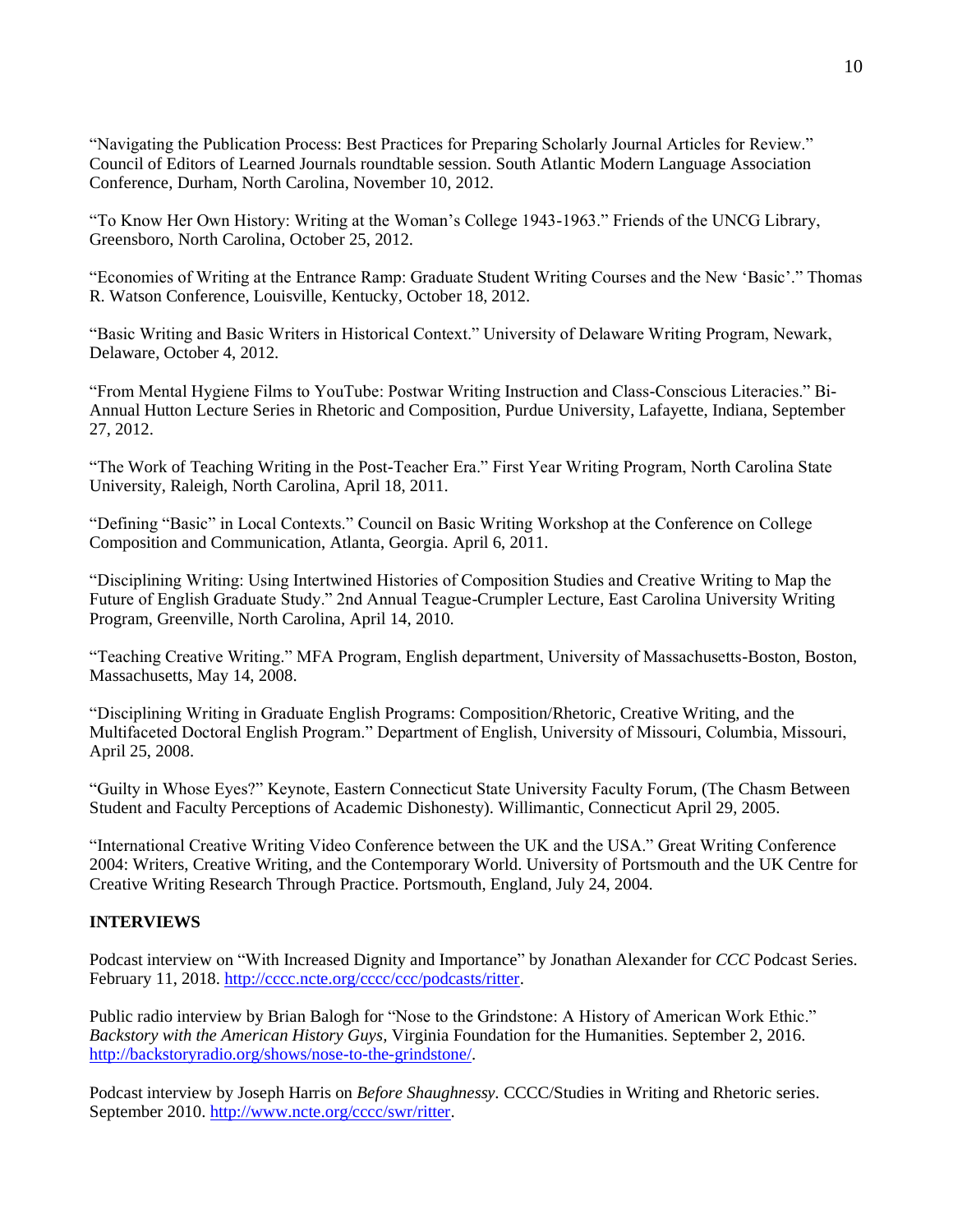"Navigating the Publication Process: Best Practices for Preparing Scholarly Journal Articles for Review." Council of Editors of Learned Journals roundtable session. South Atlantic Modern Language Association Conference, Durham, North Carolina, November 10, 2012.

"To Know Her Own History: Writing at the Woman's College 1943-1963." Friends of the UNCG Library, Greensboro, North Carolina, October 25, 2012.

"Economies of Writing at the Entrance Ramp: Graduate Student Writing Courses and the New 'Basic'." Thomas R. Watson Conference, Louisville, Kentucky, October 18, 2012.

"Basic Writing and Basic Writers in Historical Context." University of Delaware Writing Program, Newark, Delaware, October 4, 2012.

"From Mental Hygiene Films to YouTube: Postwar Writing Instruction and Class-Conscious Literacies." Bi-Annual Hutton Lecture Series in Rhetoric and Composition, Purdue University, Lafayette, Indiana, September 27, 2012.

"The Work of Teaching Writing in the Post-Teacher Era." First Year Writing Program, North Carolina State University, Raleigh, North Carolina, April 18, 2011.

"Defining "Basic" in Local Contexts." Council on Basic Writing Workshop at the Conference on College Composition and Communication, Atlanta, Georgia. April 6, 2011.

"Disciplining Writing: Using Intertwined Histories of Composition Studies and Creative Writing to Map the Future of English Graduate Study." 2nd Annual Teague-Crumpler Lecture, East Carolina University Writing Program, Greenville, North Carolina, April 14, 2010.

"Teaching Creative Writing." MFA Program, English department, University of Massachusetts-Boston, Boston, Massachusetts, May 14, 2008.

"Disciplining Writing in Graduate English Programs: Composition/Rhetoric, Creative Writing, and the Multifaceted Doctoral English Program." Department of English, University of Missouri, Columbia, Missouri, April 25, 2008.

"Guilty in Whose Eyes?" Keynote, Eastern Connecticut State University Faculty Forum, (The Chasm Between Student and Faculty Perceptions of Academic Dishonesty). Willimantic, Connecticut April 29, 2005.

"International Creative Writing Video Conference between the UK and the USA." Great Writing Conference 2004: Writers, Creative Writing, and the Contemporary World. University of Portsmouth and the UK Centre for Creative Writing Research Through Practice. Portsmouth, England, July 24, 2004.

# **INTERVIEWS**

Podcast interview on "With Increased Dignity and Importance" by Jonathan Alexander for *CCC* Podcast Series. February 11, 2018. [http://cccc.ncte.org/cccc/ccc/podcasts/ritter.](http://cccc.ncte.org/cccc/ccc/podcasts/ritter)

Public radio interview by Brian Balogh for "Nose to the Grindstone: A History of American Work Ethic." *Backstory with the American History Guys,* Virginia Foundation for the Humanities. September 2, 2016. [http://backstoryradio.org/shows/nose-to-the-grindstone/.](http://backstoryradio.org/shows/nose-to-the-grindstone/)

Podcast interview by Joseph Harris on *Before Shaughnessy.* CCCC/Studies in Writing and Rhetoric series. September 2010. [http://www.ncte.org/cccc/swr/ritter.](http://www.ncte.org/cccc/swr/ritter)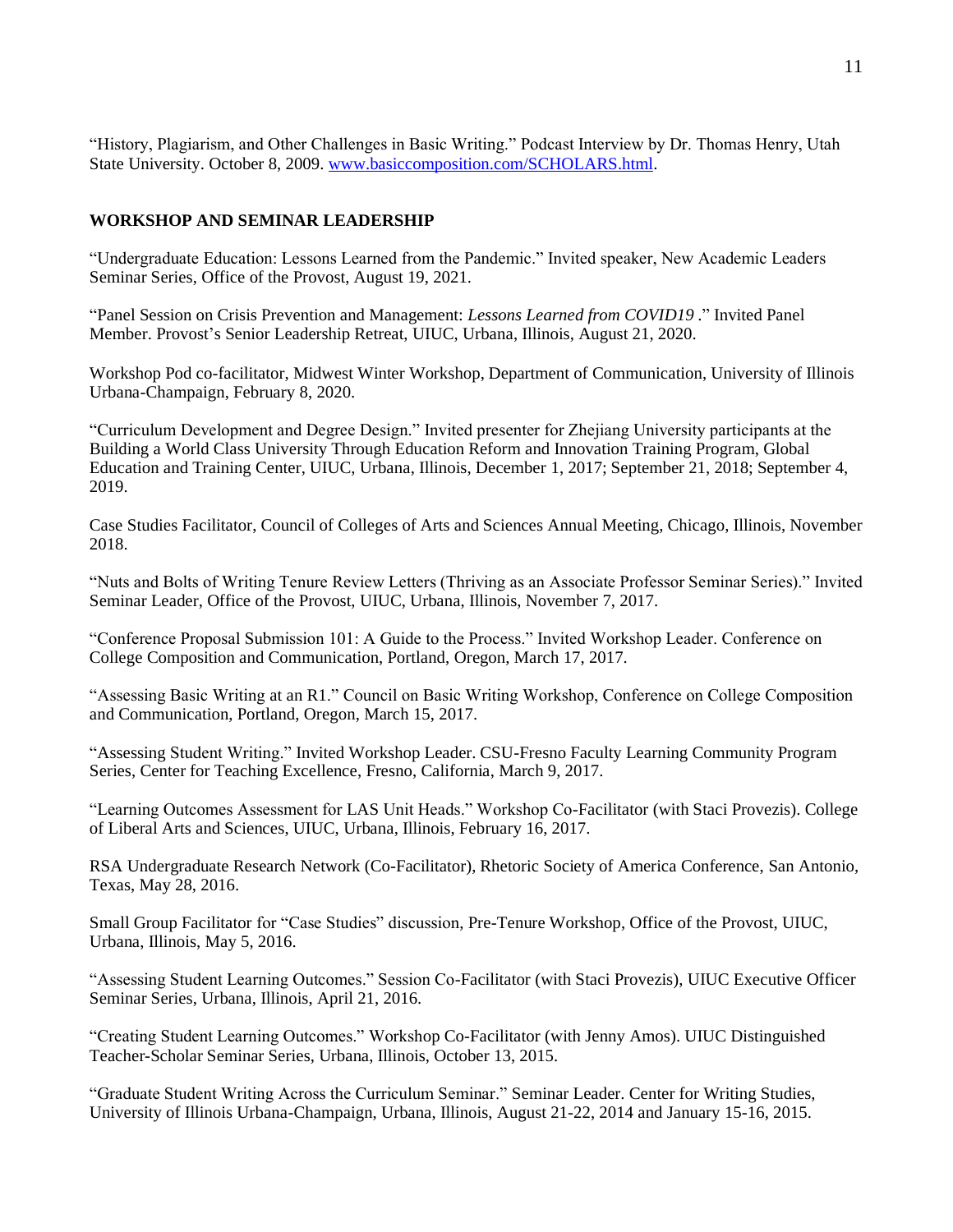"History, Plagiarism, and Other Challenges in Basic Writing." Podcast Interview by Dr. Thomas Henry, Utah State University. October 8, 2009. [www.basiccomposition.com/SCHOLARS.html.](http://www.basiccomposition.com/SCHOLARS.html)

# **WORKSHOP AND SEMINAR LEADERSHIP**

"Undergraduate Education: Lessons Learned from the Pandemic." Invited speaker, New Academic Leaders Seminar Series, Office of the Provost, August 19, 2021.

"Panel Session on Crisis Prevention and Management: *Lessons Learned from COVID19* ." Invited Panel Member. Provost's Senior Leadership Retreat, UIUC, Urbana, Illinois, August 21, 2020.

Workshop Pod co-facilitator, Midwest Winter Workshop, Department of Communication, University of Illinois Urbana-Champaign, February 8, 2020.

"Curriculum Development and Degree Design." Invited presenter for Zhejiang University participants at the Building a World Class University Through Education Reform and Innovation Training Program, Global Education and Training Center, UIUC, Urbana, Illinois, December 1, 2017; September 21, 2018; September 4, 2019.

Case Studies Facilitator, Council of Colleges of Arts and Sciences Annual Meeting, Chicago, Illinois, November 2018.

"Nuts and Bolts of Writing Tenure Review Letters (Thriving as an Associate Professor Seminar Series)." Invited Seminar Leader, Office of the Provost, UIUC, Urbana, Illinois, November 7, 2017.

"Conference Proposal Submission 101: A Guide to the Process." Invited Workshop Leader. Conference on College Composition and Communication, Portland, Oregon, March 17, 2017.

"Assessing Basic Writing at an R1." Council on Basic Writing Workshop, Conference on College Composition and Communication, Portland, Oregon, March 15, 2017.

"Assessing Student Writing." Invited Workshop Leader. CSU-Fresno Faculty Learning Community Program Series, Center for Teaching Excellence, Fresno, California, March 9, 2017.

"Learning Outcomes Assessment for LAS Unit Heads." Workshop Co-Facilitator (with Staci Provezis). College of Liberal Arts and Sciences, UIUC, Urbana, Illinois, February 16, 2017.

RSA Undergraduate Research Network (Co-Facilitator), Rhetoric Society of America Conference, San Antonio, Texas, May 28, 2016.

Small Group Facilitator for "Case Studies" discussion, Pre-Tenure Workshop, Office of the Provost, UIUC, Urbana, Illinois, May 5, 2016.

"Assessing Student Learning Outcomes." Session Co-Facilitator (with Staci Provezis), UIUC Executive Officer Seminar Series, Urbana, Illinois, April 21, 2016.

"Creating Student Learning Outcomes." Workshop Co-Facilitator (with Jenny Amos). UIUC Distinguished Teacher-Scholar Seminar Series, Urbana, Illinois, October 13, 2015.

"Graduate Student Writing Across the Curriculum Seminar." Seminar Leader. Center for Writing Studies, University of Illinois Urbana-Champaign, Urbana, Illinois, August 21-22, 2014 and January 15-16, 2015.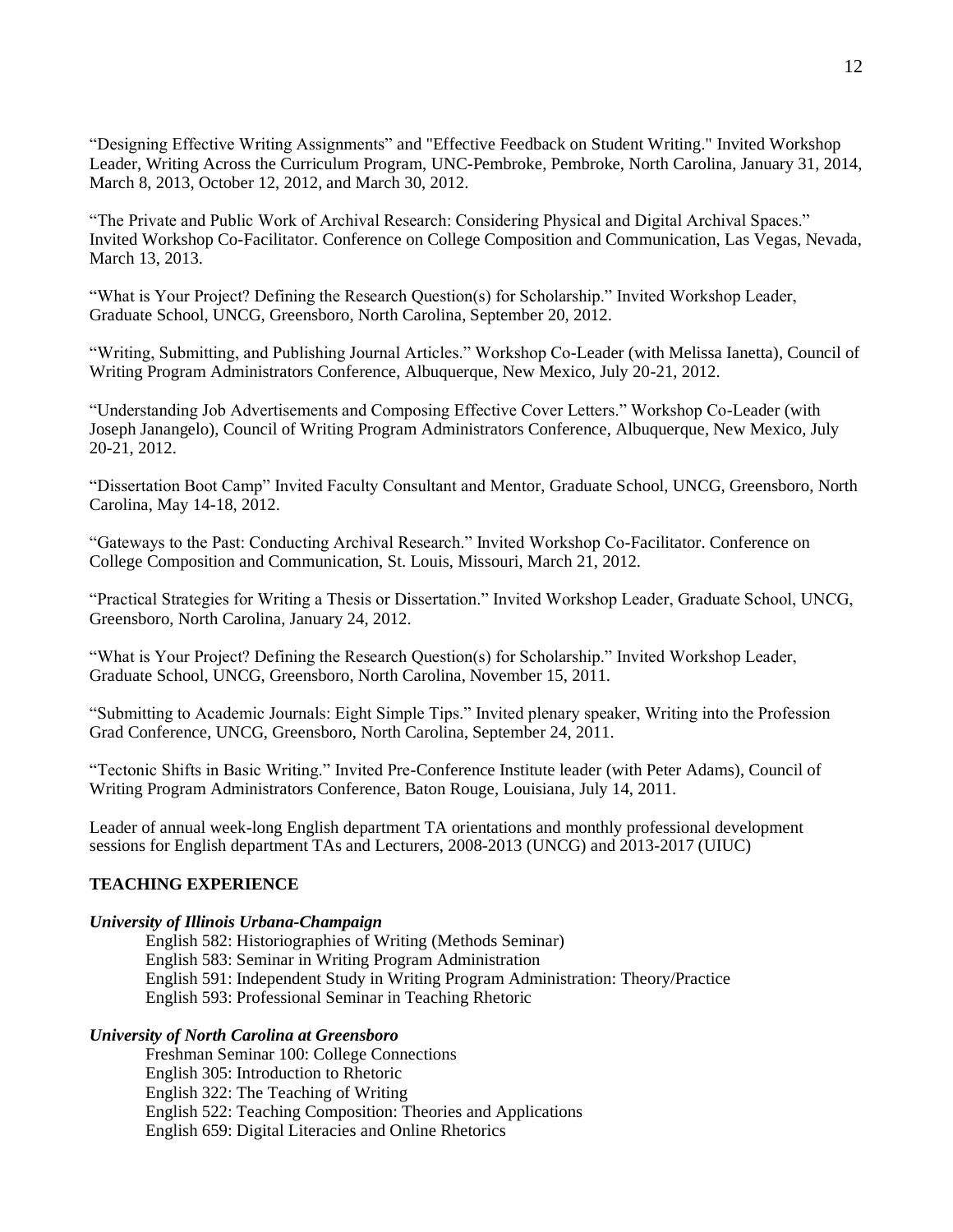"Designing Effective Writing Assignments" and "Effective Feedback on Student Writing." Invited Workshop Leader, Writing Across the Curriculum Program, UNC-Pembroke, Pembroke, North Carolina, January 31, 2014, March 8, 2013, October 12, 2012, and March 30, 2012.

"The Private and Public Work of Archival Research: Considering Physical and Digital Archival Spaces." Invited Workshop Co-Facilitator. Conference on College Composition and Communication, Las Vegas, Nevada, March 13, 2013.

"What is Your Project? Defining the Research Question(s) for Scholarship." Invited Workshop Leader, Graduate School, UNCG, Greensboro, North Carolina, September 20, 2012.

"Writing, Submitting, and Publishing Journal Articles." Workshop Co-Leader (with Melissa Ianetta), Council of Writing Program Administrators Conference, Albuquerque, New Mexico, July 20-21, 2012.

"Understanding Job Advertisements and Composing Effective Cover Letters." Workshop Co-Leader (with Joseph Janangelo), Council of Writing Program Administrators Conference, Albuquerque, New Mexico, July 20-21, 2012.

"Dissertation Boot Camp" Invited Faculty Consultant and Mentor, Graduate School, UNCG, Greensboro, North Carolina, May 14-18, 2012.

"Gateways to the Past: Conducting Archival Research." Invited Workshop Co-Facilitator. Conference on College Composition and Communication, St. Louis, Missouri, March 21, 2012.

"Practical Strategies for Writing a Thesis or Dissertation." Invited Workshop Leader, Graduate School, UNCG, Greensboro, North Carolina, January 24, 2012.

"What is Your Project? Defining the Research Question(s) for Scholarship." Invited Workshop Leader, Graduate School, UNCG, Greensboro, North Carolina, November 15, 2011.

"Submitting to Academic Journals: Eight Simple Tips." Invited plenary speaker, Writing into the Profession Grad Conference, UNCG, Greensboro, North Carolina, September 24, 2011.

"Tectonic Shifts in Basic Writing." Invited Pre-Conference Institute leader (with Peter Adams), Council of Writing Program Administrators Conference, Baton Rouge, Louisiana, July 14, 2011.

Leader of annual week-long English department TA orientations and monthly professional development sessions for English department TAs and Lecturers, 2008-2013 (UNCG) and 2013-2017 (UIUC)

# **TEACHING EXPERIENCE**

# *University of Illinois Urbana-Champaign*

English 582: Historiographies of Writing (Methods Seminar) English 583: Seminar in Writing Program Administration English 591: Independent Study in Writing Program Administration: Theory/Practice English 593: Professional Seminar in Teaching Rhetoric

# *University of North Carolina at Greensboro*

Freshman Seminar 100: College Connections English 305: Introduction to Rhetoric English 322: The Teaching of Writing English 522: Teaching Composition: Theories and Applications English 659: Digital Literacies and Online Rhetorics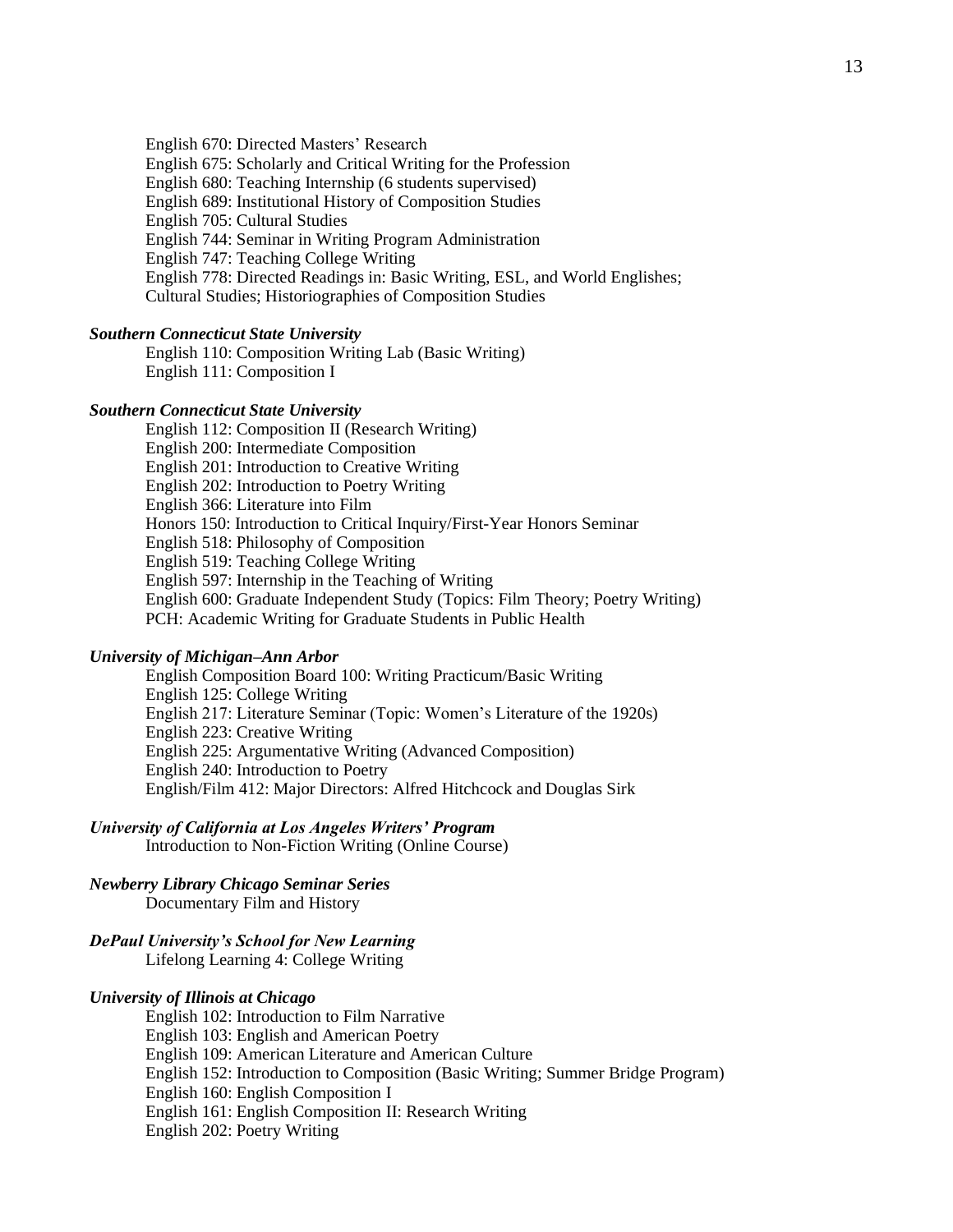English 670: Directed Masters' Research

English 675: Scholarly and Critical Writing for the Profession

English 680: Teaching Internship (6 students supervised)

English 689: Institutional History of Composition Studies

English 705: Cultural Studies

English 744: Seminar in Writing Program Administration

English 747: Teaching College Writing

English 778: Directed Readings in: Basic Writing, ESL, and World Englishes;

Cultural Studies; Historiographies of Composition Studies

#### *Southern Connecticut State University*

English 110: Composition Writing Lab (Basic Writing) English 111: Composition I

## *Southern Connecticut State University*

English 112: Composition II (Research Writing) English 200: Intermediate Composition English 201: Introduction to Creative Writing English 202: Introduction to Poetry Writing English 366: Literature into Film Honors 150: Introduction to Critical Inquiry/First-Year Honors Seminar English 518: Philosophy of Composition English 519: Teaching College Writing English 597: Internship in the Teaching of Writing English 600: Graduate Independent Study (Topics: Film Theory; Poetry Writing) PCH: Academic Writing for Graduate Students in Public Health

#### *University of Michigan–Ann Arbor*

English Composition Board 100: Writing Practicum/Basic Writing English 125: College Writing English 217: Literature Seminar (Topic: Women's Literature of the 1920s) English 223: Creative Writing English 225: Argumentative Writing (Advanced Composition) English 240: Introduction to Poetry English/Film 412: Major Directors: Alfred Hitchcock and Douglas Sirk

# *University of California at Los Angeles Writers' Program*

Introduction to Non-Fiction Writing (Online Course)

# *Newberry Library Chicago Seminar Series*

Documentary Film and History

# *DePaul University's School for New Learning*

Lifelong Learning 4: College Writing

#### *University of Illinois at Chicago*

English 102: Introduction to Film Narrative English 103: English and American Poetry English 109: American Literature and American Culture English 152: Introduction to Composition (Basic Writing; Summer Bridge Program) English 160: English Composition I English 161: English Composition II: Research Writing English 202: Poetry Writing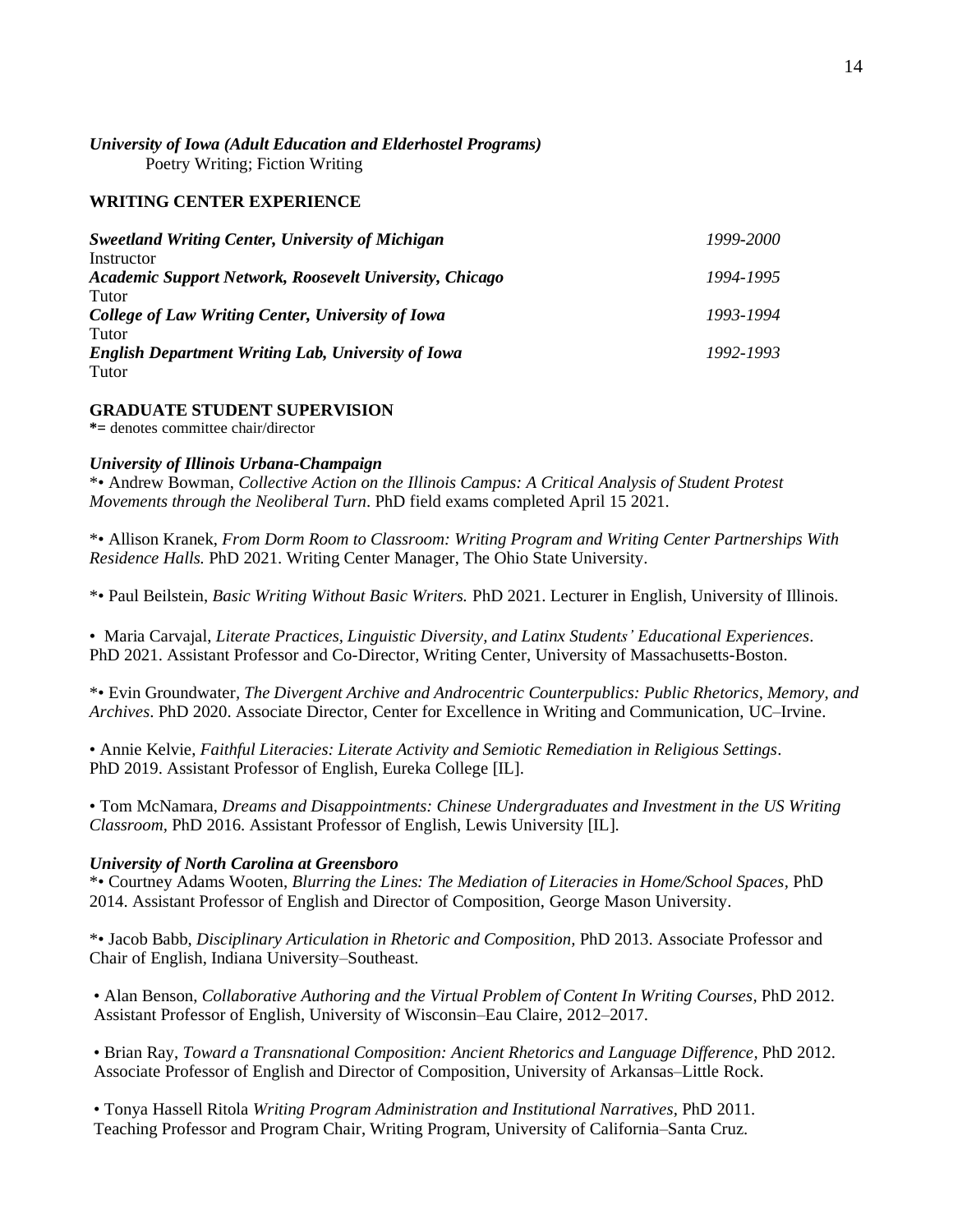# *University of Iowa (Adult Education and Elderhostel Programs)* Poetry Writing; Fiction Writing

### **WRITING CENTER EXPERIENCE**

| <b>Sweetland Writing Center, University of Michigan</b>        | 1999-2000 |
|----------------------------------------------------------------|-----------|
| Instructor                                                     |           |
| <b>Academic Support Network, Roosevelt University, Chicago</b> | 1994-1995 |
| Tutor                                                          |           |
| College of Law Writing Center, University of Iowa              | 1993-1994 |
| Tutor                                                          |           |
| <b>English Department Writing Lab, University of Iowa</b>      | 1992-1993 |
| Tutor                                                          |           |

# **GRADUATE STUDENT SUPERVISION**

**\*=** denotes committee chair/director

#### *University of Illinois Urbana-Champaign*

\*• Andrew Bowman, *Collective Action on the Illinois Campus: A Critical Analysis of Student Protest Movements through the Neoliberal Turn*. PhD field exams completed April 15 2021.

\*• Allison Kranek, *From Dorm Room to Classroom: Writing Program and Writing Center Partnerships With Residence Halls.* PhD 2021. Writing Center Manager, The Ohio State University.

\*• Paul Beilstein, *Basic Writing Without Basic Writers.* PhD 2021. Lecturer in English, University of Illinois.

• Maria Carvajal, *Literate Practices, Linguistic Diversity, and Latinx Students' Educational Experiences*. PhD 2021. Assistant Professor and Co-Director, Writing Center, University of Massachusetts-Boston.

\*• Evin Groundwater*, The Divergent Archive and Androcentric Counterpublics: Public Rhetorics, Memory, and Archives*. PhD 2020. Associate Director, Center for Excellence in Writing and Communication, UC–Irvine.

• Annie Kelvie, *Faithful Literacies: Literate Activity and Semiotic Remediation in Religious Settings*. PhD 2019. Assistant Professor of English, Eureka College [IL].

• Tom McNamara, *Dreams and Disappointments: Chinese Undergraduates and Investment in the US Writing Classroom,* PhD 2016. Assistant Professor of English, Lewis University [IL].

#### *University of North Carolina at Greensboro*

\*• Courtney Adams Wooten, *Blurring the Lines: The Mediation of Literacies in Home/School Spaces,* PhD 2014. Assistant Professor of English and Director of Composition, George Mason University.

\*• Jacob Babb, *Disciplinary Articulation in Rhetoric and Composition,* PhD 2013. Associate Professor and Chair of English, Indiana University–Southeast.

• Alan Benson, *Collaborative Authoring and the Virtual Problem of Content In Writing Courses,* PhD 2012. Assistant Professor of English, University of Wisconsin–Eau Claire, 2012–2017.

• Brian Ray, *Toward a Transnational Composition: Ancient Rhetorics and Language Difference,* PhD 2012. Associate Professor of English and Director of Composition, University of Arkansas–Little Rock.

• Tonya Hassell Ritola *Writing Program Administration and Institutional Narratives,* PhD 2011. Teaching Professor and Program Chair, Writing Program, University of California–Santa Cruz.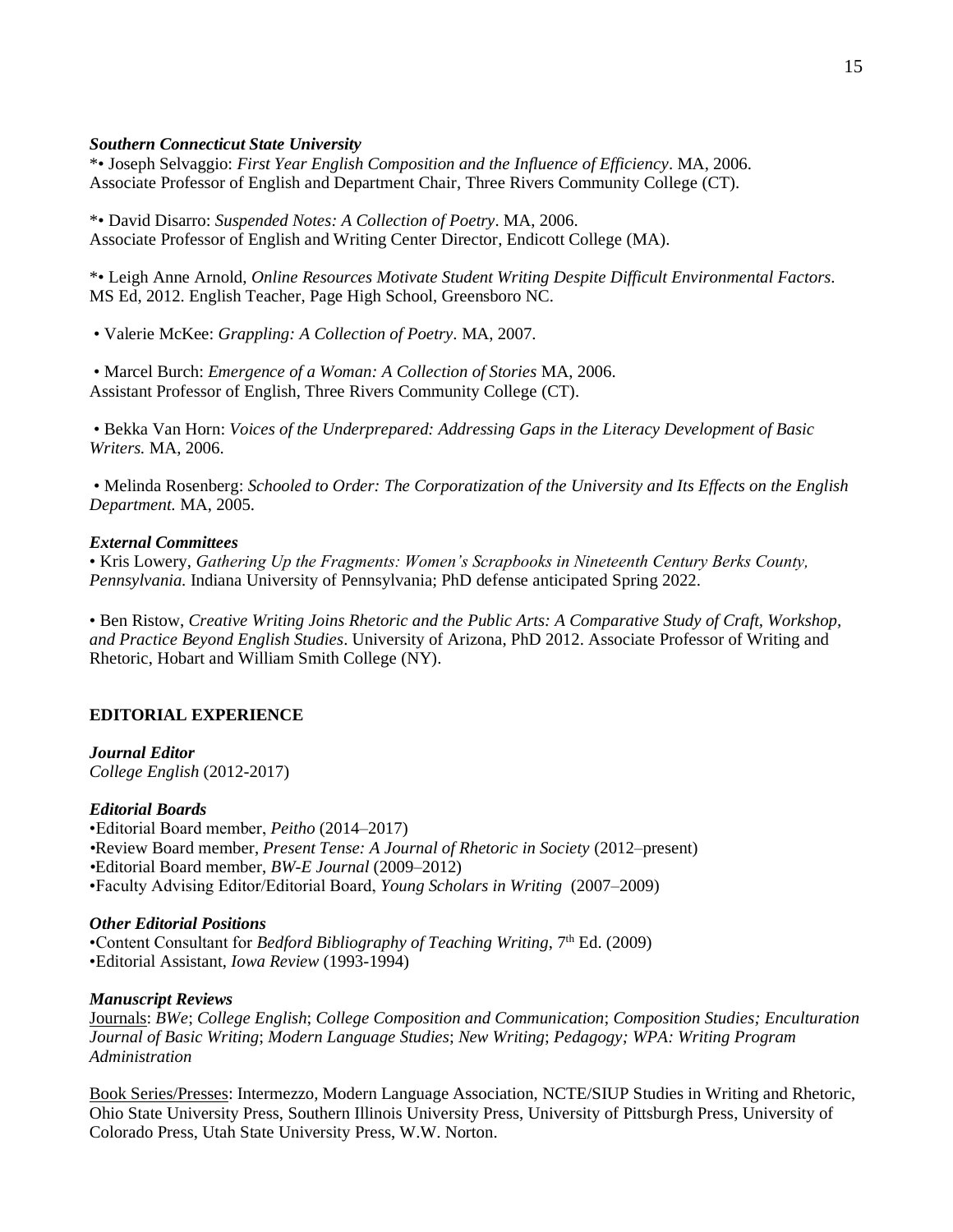# *Southern Connecticut State University*

\*• Joseph Selvaggio: *First Year English Composition and the Influence of Efficiency*. MA, 2006. Associate Professor of English and Department Chair, Three Rivers Community College (CT).

\*• David Disarro: *Suspended Notes: A Collection of Poetry*. MA, 2006. Associate Professor of English and Writing Center Director, Endicott College (MA).

\*• Leigh Anne Arnold, *Online Resources Motivate Student Writing Despite Difficult Environmental Factors.* MS Ed, 2012. English Teacher, Page High School, Greensboro NC.

• Valerie McKee: *Grappling: A Collection of Poetry.* MA, 2007.

• Marcel Burch: *Emergence of a Woman: A Collection of Stories* MA, 2006. Assistant Professor of English, Three Rivers Community College (CT).

• Bekka Van Horn: *Voices of the Underprepared: Addressing Gaps in the Literacy Development of Basic Writers.* MA, 2006.

• Melinda Rosenberg: *Schooled to Order: The Corporatization of the University and Its Effects on the English Department.* MA, 2005.

#### *External Committees*

• Kris Lowery, *Gathering Up the Fragments: Women's Scrapbooks in Nineteenth Century Berks County, Pennsylvania.* Indiana University of Pennsylvania; PhD defense anticipated Spring 2022.

• Ben Ristow, *Creative Writing Joins Rhetoric and the Public Arts: A Comparative Study of Craft, Workshop, and Practice Beyond English Studies*. University of Arizona, PhD 2012. Associate Professor of Writing and Rhetoric, Hobart and William Smith College (NY).

## **EDITORIAL EXPERIENCE**

*Journal Editor College English* (2012-2017)

#### *Editorial Boards*

•Editorial Board member, *Peitho* (2014–2017) *•*Review Board member, *Present Tense: A Journal of Rhetoric in Society* (2012–present) *•*Editorial Board member, *BW-E Journal* (2009–2012) •Faculty Advising Editor/Editorial Board, *Young Scholars in Writing* (2007–2009)

#### *Other Editorial Positions*

•Content Consultant for *Bedford Bibliography of Teaching Writing*, 7<sup>th</sup> Ed. (2009) •Editorial Assistant, *Iowa Review* (1993-1994)

### *Manuscript Reviews*

Journals: *BWe*; *College English*; *College Composition and Communication*; *Composition Studies; Enculturation Journal of Basic Writing*; *Modern Language Studies*; *New Writing*; *Pedagogy; WPA: Writing Program Administration*

Book Series/Presses: Intermezzo*,* Modern Language Association, NCTE/SIUP Studies in Writing and Rhetoric, Ohio State University Press, Southern Illinois University Press, University of Pittsburgh Press, University of Colorado Press, Utah State University Press, W.W. Norton.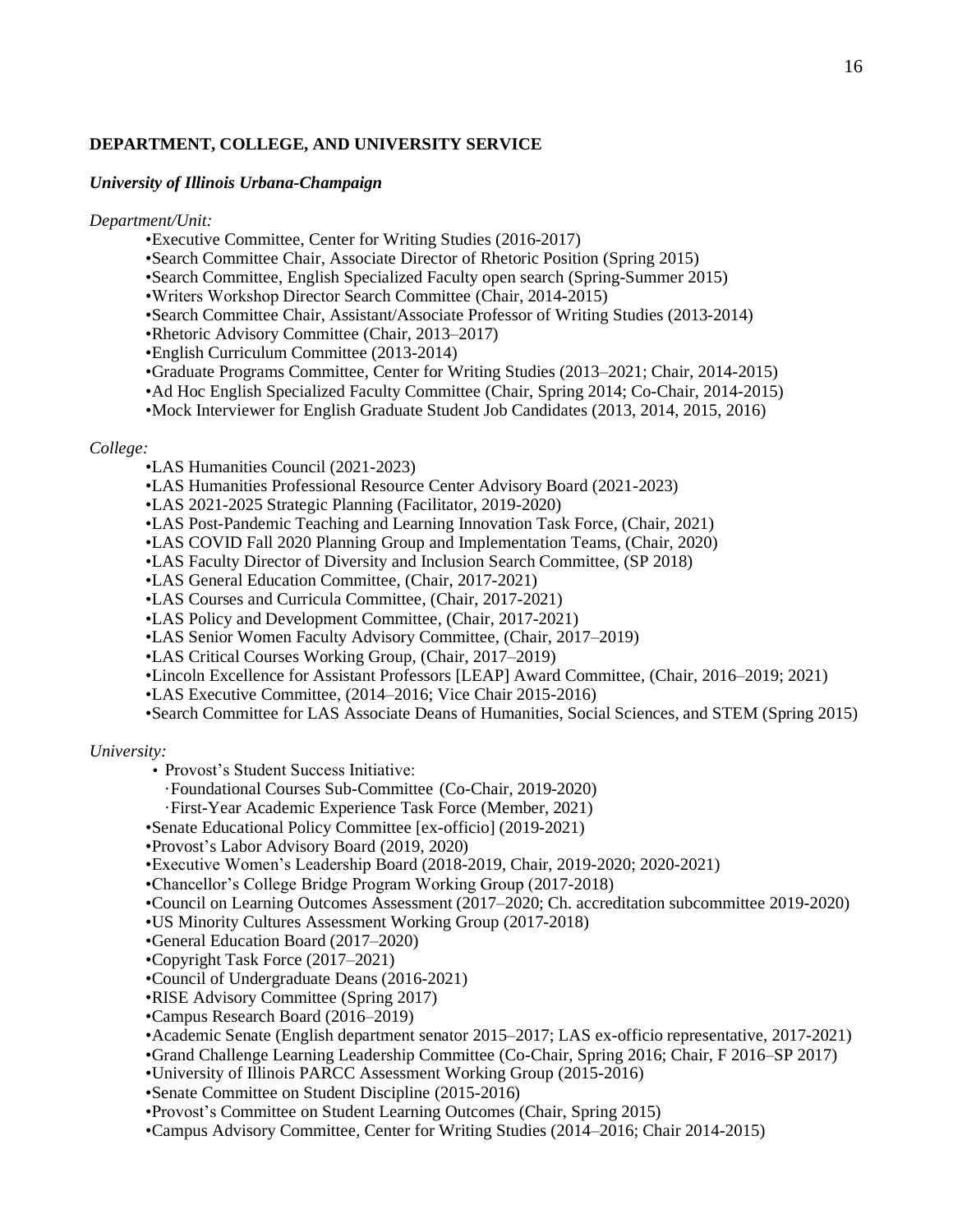## **DEPARTMENT, COLLEGE, AND UNIVERSITY SERVICE**

## *University of Illinois Urbana-Champaign*

*Department/Unit:*

- •Executive Committee, Center for Writing Studies (2016-2017)
- •Search Committee Chair, Associate Director of Rhetoric Position (Spring 2015)
- •Search Committee, English Specialized Faculty open search (Spring-Summer 2015)
- •Writers Workshop Director Search Committee (Chair, 2014-2015)
- •Search Committee Chair, Assistant/Associate Professor of Writing Studies (2013-2014)
- •Rhetoric Advisory Committee (Chair, 2013–2017)
- •English Curriculum Committee (2013-2014)
- •Graduate Programs Committee, Center for Writing Studies (2013–2021; Chair, 2014-2015)
- •Ad Hoc English Specialized Faculty Committee (Chair, Spring 2014; Co-Chair, 2014-2015)
- •Mock Interviewer for English Graduate Student Job Candidates (2013, 2014, 2015, 2016)

#### *College:*

- •LAS Humanities Council (2021-2023)
- •LAS Humanities Professional Resource Center Advisory Board (2021-2023)
- •LAS 2021-2025 Strategic Planning (Facilitator, 2019-2020)
- •LAS Post-Pandemic Teaching and Learning Innovation Task Force, (Chair, 2021)
- •LAS COVID Fall 2020 Planning Group and Implementation Teams, (Chair, 2020)
- •LAS Faculty Director of Diversity and Inclusion Search Committee, (SP 2018)
- •LAS General Education Committee, (Chair, 2017-2021)
- •LAS Courses and Curricula Committee, (Chair, 2017-2021)
- •LAS Policy and Development Committee, (Chair, 2017-2021)
- •LAS Senior Women Faculty Advisory Committee, (Chair, 2017–2019)
- •LAS Critical Courses Working Group, (Chair, 2017–2019)
- •Lincoln Excellence for Assistant Professors [LEAP] Award Committee, (Chair, 2016–2019; 2021)
- •LAS Executive Committee, (2014–2016; Vice Chair 2015-2016)
- •Search Committee for LAS Associate Deans of Humanities, Social Sciences, and STEM (Spring 2015)

# *University:*

- Provost's Student Success Initiative:
	- ·Foundational Courses Sub-Committee (Co-Chair, 2019-2020)
	- ·First-Year Academic Experience Task Force (Member, 2021)
- •Senate Educational Policy Committee [ex-officio] (2019-2021)
- •Provost's Labor Advisory Board (2019, 2020)
- •Executive Women's Leadership Board (2018-2019, Chair, 2019-2020; 2020-2021)
- •Chancellor's College Bridge Program Working Group (2017-2018)
- •Council on Learning Outcomes Assessment (2017–2020; Ch. accreditation subcommittee 2019-2020)
- •US Minority Cultures Assessment Working Group (2017-2018)

•General Education Board (2017–2020)

- •Copyright Task Force (2017–2021)
- •Council of Undergraduate Deans (2016-2021)
- •RISE Advisory Committee (Spring 2017)
- •Campus Research Board (2016–2019)
- •Academic Senate (English department senator 2015–2017; LAS ex-officio representative, 2017-2021)
- •Grand Challenge Learning Leadership Committee (Co-Chair, Spring 2016; Chair, F 2016–SP 2017)
- •University of Illinois PARCC Assessment Working Group (2015-2016)
- •Senate Committee on Student Discipline (2015-2016)
- •Provost's Committee on Student Learning Outcomes (Chair, Spring 2015)
- •Campus Advisory Committee, Center for Writing Studies (2014–2016; Chair 2014-2015)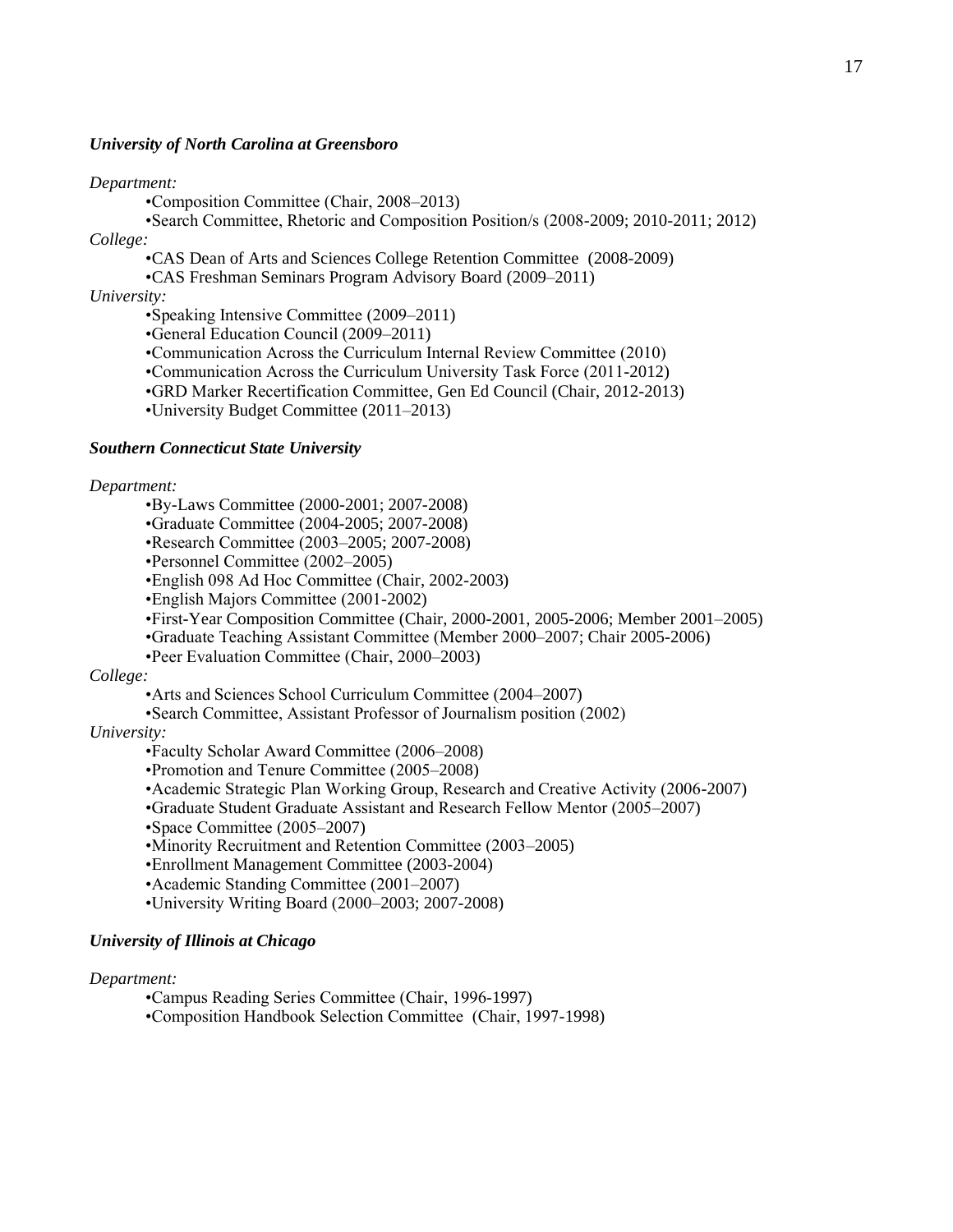#### *University of North Carolina at Greensboro*

#### *Department:*

•Composition Committee (Chair, 2008–2013)

•Search Committee, Rhetoric and Composition Position/s (2008-2009; 2010-2011; 2012) *College:*

•CAS Dean of Arts and Sciences College Retention Committee (2008-2009)

•CAS Freshman Seminars Program Advisory Board (2009–2011)

*University:*

•Speaking Intensive Committee (2009–2011)

•General Education Council (2009–2011)

•Communication Across the Curriculum Internal Review Committee (2010)

•Communication Across the Curriculum University Task Force (2011-2012)

•GRD Marker Recertification Committee, Gen Ed Council (Chair, 2012-2013)

•University Budget Committee (2011–2013)

#### *Southern Connecticut State University*

#### *Department:*

•By-Laws Committee (2000-2001; 2007-2008)

•Graduate Committee (2004-2005; 2007-2008)

•Research Committee (2003–2005; 2007-2008)

•Personnel Committee (2002–2005)

•English 098 Ad Hoc Committee (Chair, 2002-2003)

•English Majors Committee (2001-2002)

•First-Year Composition Committee (Chair, 2000-2001, 2005-2006; Member 2001–2005)

•Graduate Teaching Assistant Committee (Member 2000–2007; Chair 2005-2006)

•Peer Evaluation Committee (Chair, 2000–2003)

#### *College:*

•Arts and Sciences School Curriculum Committee (2004–2007)

•Search Committee, Assistant Professor of Journalism position (2002)

#### *University:*

•Faculty Scholar Award Committee (2006–2008)

•Promotion and Tenure Committee (2005–2008)

•Academic Strategic Plan Working Group, Research and Creative Activity (2006-2007)

•Graduate Student Graduate Assistant and Research Fellow Mentor (2005–2007)

•Space Committee (2005–2007)

•Minority Recruitment and Retention Committee (2003–2005)

•Enrollment Management Committee (2003-2004)

•Academic Standing Committee (2001–2007)

•University Writing Board (2000–2003; 2007-2008)

#### *University of Illinois at Chicago*

#### *Department:*

•Campus Reading Series Committee (Chair, 1996-1997)

•Composition Handbook Selection Committee (Chair, 1997-1998)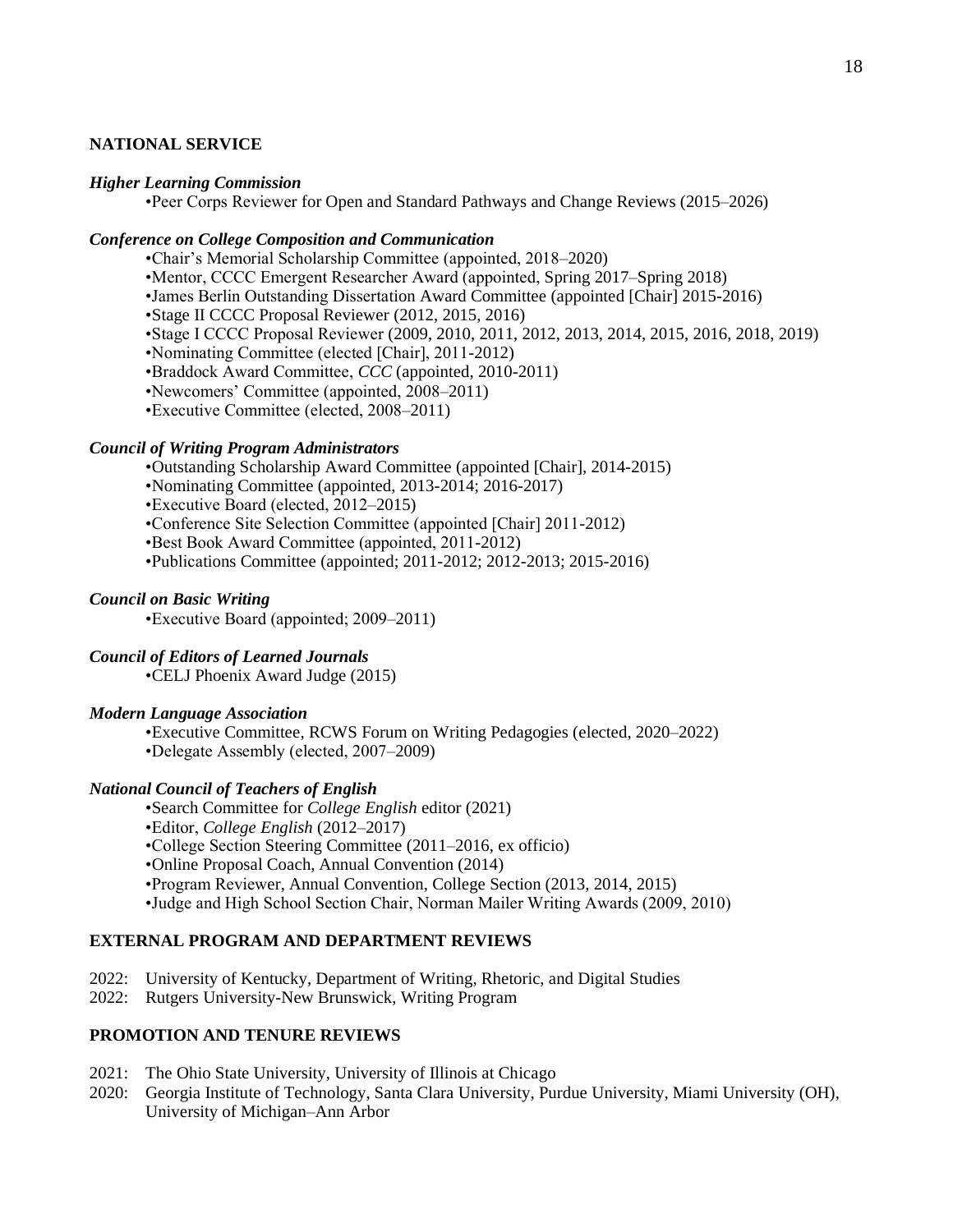# **NATIONAL SERVICE**

#### *Higher Learning Commission*

•Peer Corps Reviewer for Open and Standard Pathways and Change Reviews (2015–2026)

# *Conference on College Composition and Communication*

•Chair's Memorial Scholarship Committee (appointed, 2018–2020) •Mentor, CCCC Emergent Researcher Award (appointed, Spring 2017–Spring 2018) •James Berlin Outstanding Dissertation Award Committee (appointed [Chair] 2015-2016) •Stage II CCCC Proposal Reviewer (2012, 2015, 2016) •Stage I CCCC Proposal Reviewer (2009, 2010, 2011, 2012, 2013, 2014, 2015, 2016, 2018, 2019) •Nominating Committee (elected [Chair], 2011-2012) •Braddock Award Committee, *CCC* (appointed, 2010-2011) •Newcomers' Committee (appointed, 2008–2011) •Executive Committee (elected, 2008–2011)

#### *Council of Writing Program Administrators*

•Outstanding Scholarship Award Committee (appointed [Chair], 2014-2015)

•Nominating Committee (appointed, 2013-2014; 2016-2017)

•Executive Board (elected, 2012–2015)

•Conference Site Selection Committee (appointed [Chair] 2011-2012)

•Best Book Award Committee (appointed, 2011-2012)

•Publications Committee (appointed; 2011-2012; 2012-2013; 2015-2016)

## *Council on Basic Writing*

•Executive Board (appointed; 2009–2011)

## *Council of Editors of Learned Journals*

•CELJ Phoenix Award Judge (2015)

#### *Modern Language Association*

•Executive Committee, RCWS Forum on Writing Pedagogies (elected, 2020–2022) •Delegate Assembly (elected, 2007–2009)

# *National Council of Teachers of English*

•Search Committee for *College English* editor (2021) •Editor, *College English* (2012–2017) •College Section Steering Committee (2011–2016, ex officio) •Online Proposal Coach, Annual Convention (2014) •Program Reviewer, Annual Convention, College Section (2013, 2014, 2015) •Judge and High School Section Chair, Norman Mailer Writing Awards (2009, 2010)

# **EXTERNAL PROGRAM AND DEPARTMENT REVIEWS**

- 2022: University of Kentucky, Department of Writing, Rhetoric, and Digital Studies
- 2022: Rutgers University-New Brunswick, Writing Program

# **PROMOTION AND TENURE REVIEWS**

- 2021: The Ohio State University, University of Illinois at Chicago
- 2020: Georgia Institute of Technology, Santa Clara University, Purdue University, Miami University (OH), University of Michigan–Ann Arbor